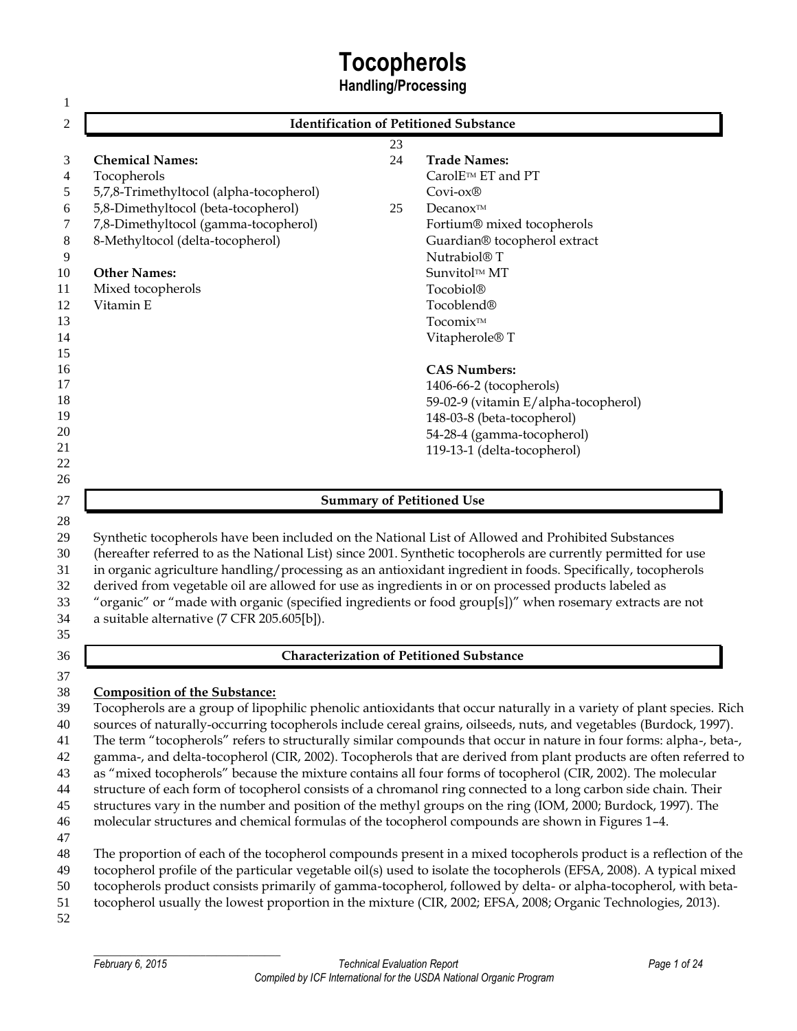# **Tocopherols**

**Handling/Processing**

|                                                                                                                                                    |    | <b>Identification of Petitioned Substance</b>                                                                                                                                                                                                                                                                                                                                                                                                                                                                                                                                                                                                                                                                                                                                                                                                                                                                                                                                                                                                                                                                                                                                                     |
|----------------------------------------------------------------------------------------------------------------------------------------------------|----|---------------------------------------------------------------------------------------------------------------------------------------------------------------------------------------------------------------------------------------------------------------------------------------------------------------------------------------------------------------------------------------------------------------------------------------------------------------------------------------------------------------------------------------------------------------------------------------------------------------------------------------------------------------------------------------------------------------------------------------------------------------------------------------------------------------------------------------------------------------------------------------------------------------------------------------------------------------------------------------------------------------------------------------------------------------------------------------------------------------------------------------------------------------------------------------------------|
|                                                                                                                                                    | 23 |                                                                                                                                                                                                                                                                                                                                                                                                                                                                                                                                                                                                                                                                                                                                                                                                                                                                                                                                                                                                                                                                                                                                                                                                   |
| <b>Chemical Names:</b>                                                                                                                             | 24 | <b>Trade Names:</b>                                                                                                                                                                                                                                                                                                                                                                                                                                                                                                                                                                                                                                                                                                                                                                                                                                                                                                                                                                                                                                                                                                                                                                               |
| Tocopherols                                                                                                                                        |    | CarolE™ ET and PT                                                                                                                                                                                                                                                                                                                                                                                                                                                                                                                                                                                                                                                                                                                                                                                                                                                                                                                                                                                                                                                                                                                                                                                 |
| 5,7,8-Trimethyltocol (alpha-tocopherol)                                                                                                            |    | Covi-ox®                                                                                                                                                                                                                                                                                                                                                                                                                                                                                                                                                                                                                                                                                                                                                                                                                                                                                                                                                                                                                                                                                                                                                                                          |
| 5,8-Dimethyltocol (beta-tocopherol)                                                                                                                | 25 | Decanox™                                                                                                                                                                                                                                                                                                                                                                                                                                                                                                                                                                                                                                                                                                                                                                                                                                                                                                                                                                                                                                                                                                                                                                                          |
| 7,8-Dimethyltocol (gamma-tocopherol)                                                                                                               |    | Fortium® mixed tocopherols                                                                                                                                                                                                                                                                                                                                                                                                                                                                                                                                                                                                                                                                                                                                                                                                                                                                                                                                                                                                                                                                                                                                                                        |
| 8-Methyltocol (delta-tocopherol)                                                                                                                   |    | Guardian® tocopherol extract                                                                                                                                                                                                                                                                                                                                                                                                                                                                                                                                                                                                                                                                                                                                                                                                                                                                                                                                                                                                                                                                                                                                                                      |
|                                                                                                                                                    |    | Nutrabiol® T                                                                                                                                                                                                                                                                                                                                                                                                                                                                                                                                                                                                                                                                                                                                                                                                                                                                                                                                                                                                                                                                                                                                                                                      |
| <b>Other Names:</b>                                                                                                                                |    | Sunvitol™ MT                                                                                                                                                                                                                                                                                                                                                                                                                                                                                                                                                                                                                                                                                                                                                                                                                                                                                                                                                                                                                                                                                                                                                                                      |
| Mixed tocopherols                                                                                                                                  |    | Tocobiol®                                                                                                                                                                                                                                                                                                                                                                                                                                                                                                                                                                                                                                                                                                                                                                                                                                                                                                                                                                                                                                                                                                                                                                                         |
| Vitamin E                                                                                                                                          |    | Tocoblend®                                                                                                                                                                                                                                                                                                                                                                                                                                                                                                                                                                                                                                                                                                                                                                                                                                                                                                                                                                                                                                                                                                                                                                                        |
|                                                                                                                                                    |    | Tocomix™                                                                                                                                                                                                                                                                                                                                                                                                                                                                                                                                                                                                                                                                                                                                                                                                                                                                                                                                                                                                                                                                                                                                                                                          |
|                                                                                                                                                    |    | Vitapherole <sup>®</sup> T                                                                                                                                                                                                                                                                                                                                                                                                                                                                                                                                                                                                                                                                                                                                                                                                                                                                                                                                                                                                                                                                                                                                                                        |
|                                                                                                                                                    |    | <b>CAS Numbers:</b>                                                                                                                                                                                                                                                                                                                                                                                                                                                                                                                                                                                                                                                                                                                                                                                                                                                                                                                                                                                                                                                                                                                                                                               |
|                                                                                                                                                    |    | 1406-66-2 (tocopherols)                                                                                                                                                                                                                                                                                                                                                                                                                                                                                                                                                                                                                                                                                                                                                                                                                                                                                                                                                                                                                                                                                                                                                                           |
|                                                                                                                                                    |    | 59-02-9 (vitamin E/alpha-tocopherol)                                                                                                                                                                                                                                                                                                                                                                                                                                                                                                                                                                                                                                                                                                                                                                                                                                                                                                                                                                                                                                                                                                                                                              |
|                                                                                                                                                    |    | 148-03-8 (beta-tocopherol)                                                                                                                                                                                                                                                                                                                                                                                                                                                                                                                                                                                                                                                                                                                                                                                                                                                                                                                                                                                                                                                                                                                                                                        |
|                                                                                                                                                    |    | 54-28-4 (gamma-tocopherol)                                                                                                                                                                                                                                                                                                                                                                                                                                                                                                                                                                                                                                                                                                                                                                                                                                                                                                                                                                                                                                                                                                                                                                        |
|                                                                                                                                                    |    | 119-13-1 (delta-tocopherol)                                                                                                                                                                                                                                                                                                                                                                                                                                                                                                                                                                                                                                                                                                                                                                                                                                                                                                                                                                                                                                                                                                                                                                       |
|                                                                                                                                                    |    |                                                                                                                                                                                                                                                                                                                                                                                                                                                                                                                                                                                                                                                                                                                                                                                                                                                                                                                                                                                                                                                                                                                                                                                                   |
|                                                                                                                                                    |    |                                                                                                                                                                                                                                                                                                                                                                                                                                                                                                                                                                                                                                                                                                                                                                                                                                                                                                                                                                                                                                                                                                                                                                                                   |
|                                                                                                                                                    |    |                                                                                                                                                                                                                                                                                                                                                                                                                                                                                                                                                                                                                                                                                                                                                                                                                                                                                                                                                                                                                                                                                                                                                                                                   |
|                                                                                                                                                    |    | <b>Summary of Petitioned Use</b><br>Synthetic tocopherols have been included on the National List of Allowed and Prohibited Substances<br>(hereafter referred to as the National List) since 2001. Synthetic tocopherols are currently permitted for use<br>in organic agriculture handling/processing as an antioxidant ingredient in foods. Specifically, tocopherols                                                                                                                                                                                                                                                                                                                                                                                                                                                                                                                                                                                                                                                                                                                                                                                                                           |
| derived from vegetable oil are allowed for use as ingredients in or on processed products labeled as<br>a suitable alternative (7 CFR 205.605[b]). |    | "organic" or "made with organic (specified ingredients or food group[s])" when rosemary extracts are not                                                                                                                                                                                                                                                                                                                                                                                                                                                                                                                                                                                                                                                                                                                                                                                                                                                                                                                                                                                                                                                                                          |
|                                                                                                                                                    |    |                                                                                                                                                                                                                                                                                                                                                                                                                                                                                                                                                                                                                                                                                                                                                                                                                                                                                                                                                                                                                                                                                                                                                                                                   |
|                                                                                                                                                    |    | <b>Characterization of Petitioned Substance</b>                                                                                                                                                                                                                                                                                                                                                                                                                                                                                                                                                                                                                                                                                                                                                                                                                                                                                                                                                                                                                                                                                                                                                   |
|                                                                                                                                                    |    |                                                                                                                                                                                                                                                                                                                                                                                                                                                                                                                                                                                                                                                                                                                                                                                                                                                                                                                                                                                                                                                                                                                                                                                                   |
| <b>Composition of the Substance:</b>                                                                                                               |    |                                                                                                                                                                                                                                                                                                                                                                                                                                                                                                                                                                                                                                                                                                                                                                                                                                                                                                                                                                                                                                                                                                                                                                                                   |
|                                                                                                                                                    |    |                                                                                                                                                                                                                                                                                                                                                                                                                                                                                                                                                                                                                                                                                                                                                                                                                                                                                                                                                                                                                                                                                                                                                                                                   |
|                                                                                                                                                    |    |                                                                                                                                                                                                                                                                                                                                                                                                                                                                                                                                                                                                                                                                                                                                                                                                                                                                                                                                                                                                                                                                                                                                                                                                   |
|                                                                                                                                                    |    |                                                                                                                                                                                                                                                                                                                                                                                                                                                                                                                                                                                                                                                                                                                                                                                                                                                                                                                                                                                                                                                                                                                                                                                                   |
|                                                                                                                                                    |    |                                                                                                                                                                                                                                                                                                                                                                                                                                                                                                                                                                                                                                                                                                                                                                                                                                                                                                                                                                                                                                                                                                                                                                                                   |
|                                                                                                                                                    |    | as "mixed tocopherols" because the mixture contains all four forms of tocopherol (CIR, 2002). The molecular                                                                                                                                                                                                                                                                                                                                                                                                                                                                                                                                                                                                                                                                                                                                                                                                                                                                                                                                                                                                                                                                                       |
|                                                                                                                                                    |    |                                                                                                                                                                                                                                                                                                                                                                                                                                                                                                                                                                                                                                                                                                                                                                                                                                                                                                                                                                                                                                                                                                                                                                                                   |
|                                                                                                                                                    |    |                                                                                                                                                                                                                                                                                                                                                                                                                                                                                                                                                                                                                                                                                                                                                                                                                                                                                                                                                                                                                                                                                                                                                                                                   |
|                                                                                                                                                    |    | molecular structures and chemical formulas of the tocopherol compounds are shown in Figures 1-4.                                                                                                                                                                                                                                                                                                                                                                                                                                                                                                                                                                                                                                                                                                                                                                                                                                                                                                                                                                                                                                                                                                  |
|                                                                                                                                                    |    |                                                                                                                                                                                                                                                                                                                                                                                                                                                                                                                                                                                                                                                                                                                                                                                                                                                                                                                                                                                                                                                                                                                                                                                                   |
|                                                                                                                                                    |    |                                                                                                                                                                                                                                                                                                                                                                                                                                                                                                                                                                                                                                                                                                                                                                                                                                                                                                                                                                                                                                                                                                                                                                                                   |
|                                                                                                                                                    |    |                                                                                                                                                                                                                                                                                                                                                                                                                                                                                                                                                                                                                                                                                                                                                                                                                                                                                                                                                                                                                                                                                                                                                                                                   |
|                                                                                                                                                    |    | Tocopherols are a group of lipophilic phenolic antioxidants that occur naturally in a variety of plant species. Rich<br>sources of naturally-occurring tocopherols include cereal grains, oilseeds, nuts, and vegetables (Burdock, 1997).<br>The term "tocopherols" refers to structurally similar compounds that occur in nature in four forms: alpha-, beta-,<br>gamma-, and delta-tocopherol (CIR, 2002). Tocopherols that are derived from plant products are often referred to<br>structure of each form of tocopherol consists of a chromanol ring connected to a long carbon side chain. Their<br>structures vary in the number and position of the methyl groups on the ring (IOM, 2000; Burdock, 1997). The<br>The proportion of each of the tocopherol compounds present in a mixed tocopherols product is a reflection of the<br>tocopherol profile of the particular vegetable oil(s) used to isolate the tocopherols (EFSA, 2008). A typical mixed<br>tocopherols product consists primarily of gamma-tocopherol, followed by delta- or alpha-tocopherol, with beta-<br>tocopherol usually the lowest proportion in the mixture (CIR, 2002; EFSA, 2008; Organic Technologies, 2013). |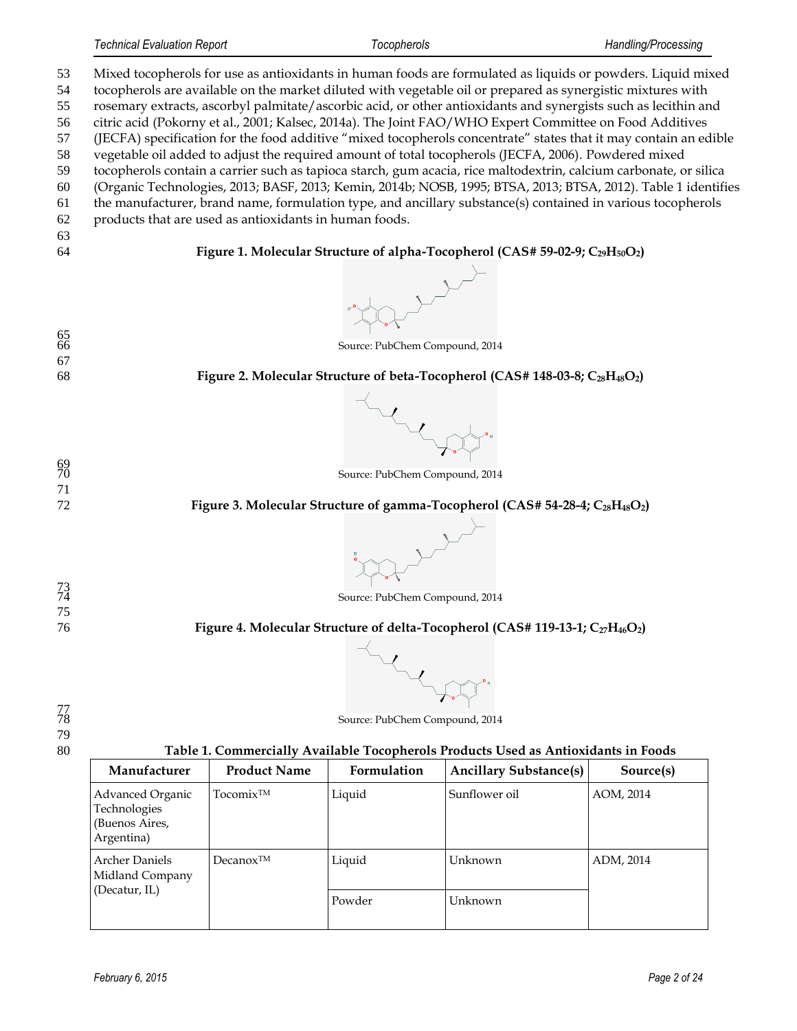(Organic Technologies, 2013; BASF, 2013; Kemin, 2014b; NOSB, 1995; BTSA, 2013; BTSA, 2012). Table 1 identifies

- the manufacturer, brand name, formulation type, and ancillary substance(s) contained in various tocopherols
- products that are used as antioxidants in human foods.
- 

**Figure 1. Molecular Structure of alpha-Tocopherol (CAS# 59-02-9; C29H50O2)**

Source: PubChem Compound, 2014

<br> $66$ 

**Figure 2. Molecular Structure of beta-Tocopherol (CAS# 148-03-8; C28H48O2)**



Source: PubChem Compound, 2014

#### **Figure 3. Molecular Structure of gamma-Tocopherol (CAS# 54-28-4; C28H48O2)**



**Figure 4. Molecular Structure of delta-Tocopherol (CAS# 119-13-1; C27H46O2)**



 

**Table 1. Commercially Available Tocopherols Products Used as Antioxidants in Foods**

Source: PubChem Compound, 2014

| Manufacturer                                                     | <b>Product Name</b>   | Formulation | <b>Ancillary Substance(s)</b> | Source(s) |
|------------------------------------------------------------------|-----------------------|-------------|-------------------------------|-----------|
| Advanced Organic<br>Technologies<br>(Buenos Aires,<br>Argentina) | Tocomix <sup>™</sup>  | Liquid      | Sunflower oil                 | AOM, 2014 |
| <b>Archer Daniels</b><br>Midland Company                         | Decanox <sup>TM</sup> | Liquid      | Unknown                       | ADM, 2014 |
| (Decatur, IL)                                                    |                       | Powder      | Unknown                       |           |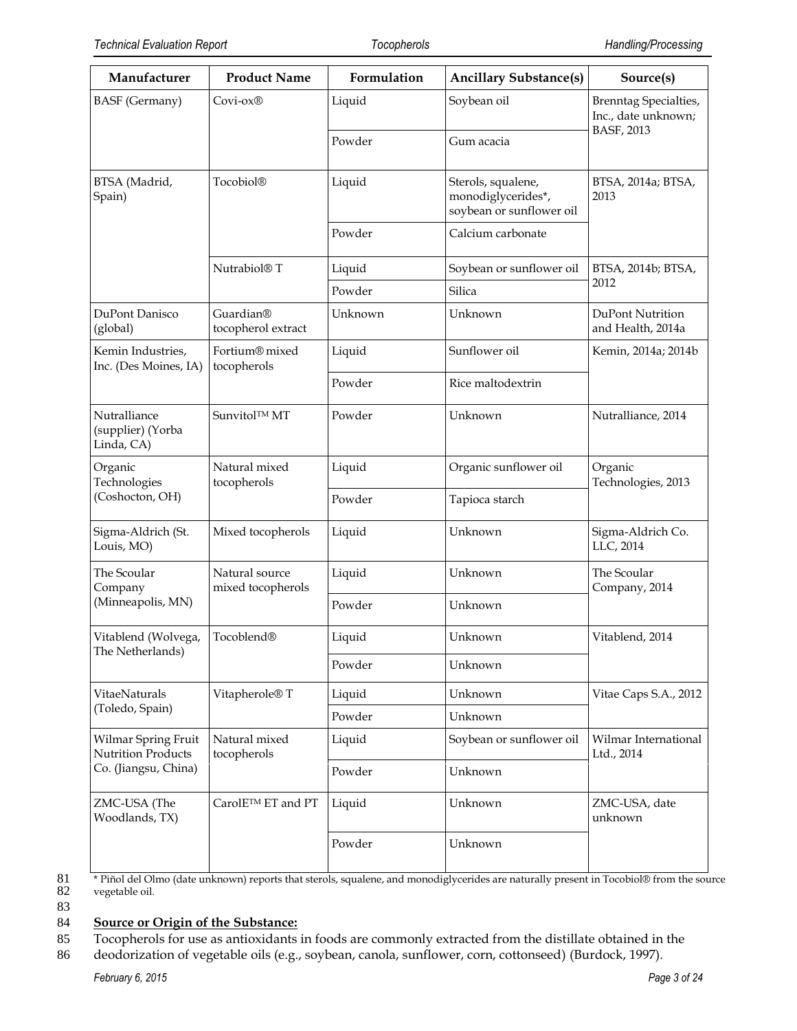| Manufacturer                                    | <b>Product Name</b>                 | Formulation | <b>Ancillary Substance(s)</b>                                        | Source(s)                                           |
|-------------------------------------------------|-------------------------------------|-------------|----------------------------------------------------------------------|-----------------------------------------------------|
| <b>BASF</b> (Germany)                           | Covi-ox®                            | Liquid      | Soybean oil                                                          | <b>Brenntag Specialties,</b><br>Inc., date unknown; |
|                                                 |                                     | Powder      | Gum acacia                                                           | BASF, 2013                                          |
| BTSA (Madrid,<br>Spain)                         | Tocobiol®                           | Liquid      | Sterols, squalene,<br>monodiglycerides*,<br>soybean or sunflower oil | BTSA, 2014a; BTSA,<br>2013                          |
|                                                 |                                     | Powder      | Calcium carbonate                                                    |                                                     |
|                                                 | Nutrabiol <sup>®</sup> T            | Liquid      | Soybean or sunflower oil                                             | BTSA, 2014b; BTSA,                                  |
|                                                 |                                     | Powder      | Silica                                                               | 2012                                                |
| DuPont Danisco<br>(global)                      | Guardian®<br>tocopherol extract     | Unknown     | Unknown                                                              | DuPont Nutrition<br>and Health, 2014a               |
| Kemin Industries,<br>Inc. (Des Moines, IA)      | Fortium® mixed<br>tocopherols       | Liquid      | Sunflower oil                                                        | Kemin, 2014a; 2014b                                 |
|                                                 |                                     | Powder      | Rice maltodextrin                                                    |                                                     |
| Nutralliance<br>(supplier) (Yorba<br>Linda, CA) | Sunvitol™ MT                        | Powder      | Unknown                                                              | Nutralliance, 2014                                  |
| Organic<br>Technologies                         | Natural mixed<br>tocopherols        | Liquid      | Organic sunflower oil                                                | Organic<br>Technologies, 2013                       |
| (Coshocton, OH)                                 |                                     | Powder      | Tapioca starch                                                       |                                                     |
| Sigma-Aldrich (St.<br>Louis, MO)                | Mixed tocopherols                   | Liquid      | Unknown                                                              | Sigma-Aldrich Co.<br>LLC, 2014                      |
| The Scoular<br>Company                          | Natural source<br>mixed tocopherols | Liquid      | Unknown                                                              | The Scoular<br>Company, 2014                        |
| (Minneapolis, MN)                               |                                     | Powder      | Unknown                                                              |                                                     |
| Vitablend (Wolvega,<br>The Netherlands)         | Tocoblend®                          | Liquid      | Unknown                                                              | Vitablend, 2014                                     |
|                                                 |                                     | Powder      | Unknown                                                              |                                                     |
| VitaeNaturals                                   | Vitapherole <sup>®</sup> T          | Liquid      | Unknown                                                              | Vitae Caps S.A., 2012                               |
| (Toledo, Spain)                                 |                                     | Powder      | Unknown                                                              |                                                     |
| Wilmar Spring Fruit<br>Nutrition Products       | Natural mixed<br>tocopherols        | Liquid      | Soybean or sunflower oil                                             | Wilmar International<br>Ltd., 2014                  |
| Co. (Jiangsu, China)                            |                                     | Powder      | Unknown                                                              |                                                     |
| ZMC-USA (The<br>Woodlands, TX)                  | CarolE <sup>TM</sup> ET and PT      | Liquid      | Unknown                                                              | ZMC-USA, date<br>unknown                            |
|                                                 |                                     | Powder      | Unknown                                                              |                                                     |

81 \* Piñol del Olmo (date unknown) reports that sterols, squalene, and monodiglycerides are naturally present in Tocobiol® from the source vegetable oil. vegetable oil.

83

#### 84 **Source or Origin of the Substance:**

85 Tocopherols for use as antioxidants in foods are commonly extracted from the distillate obtained in the

86 deodorization of vegetable oils (e.g., soybean, canola, sunflower, corn, cottonseed) (Burdock, 1997).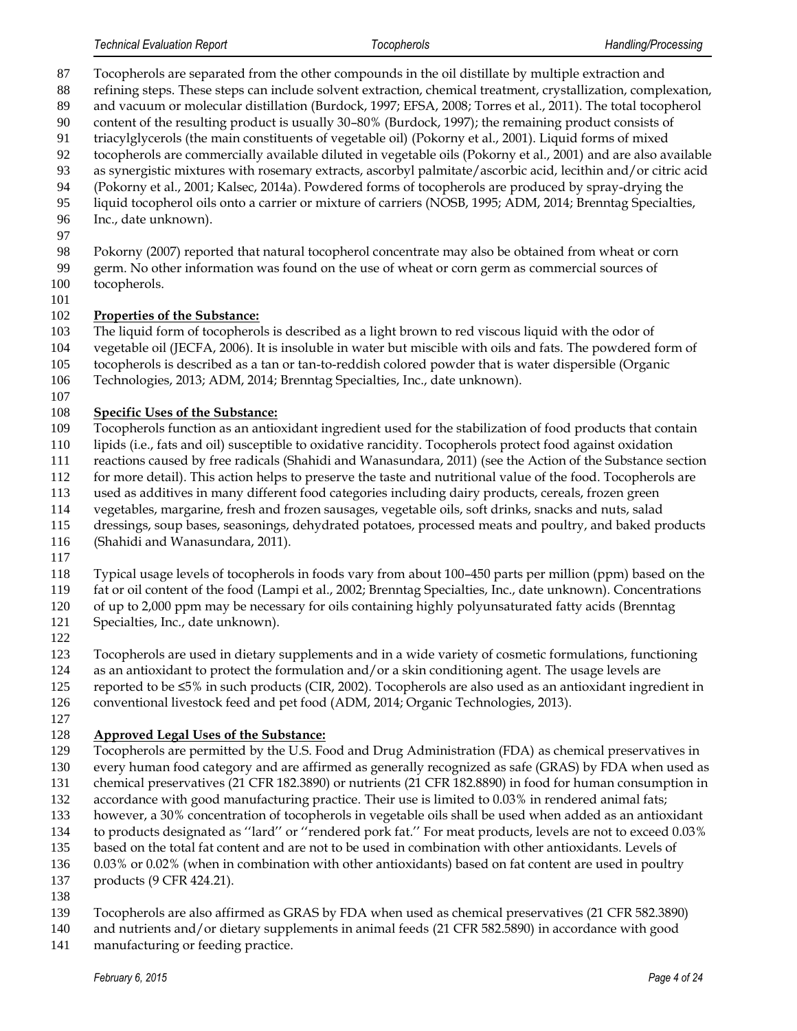- Tocopherols are separated from the other compounds in the oil distillate by multiple extraction and
- refining steps. These steps can include solvent extraction, chemical treatment, crystallization, complexation,
- and vacuum or molecular distillation (Burdock, 1997; EFSA, 2008; Torres et al., 2011). The total tocopherol content of the resulting product is usually 30–80% (Burdock, 1997); the remaining product consists of
- triacylglycerols (the main constituents of vegetable oil) (Pokorny et al., 2001). Liquid forms of mixed
- tocopherols are commercially available diluted in vegetable oils (Pokorny et al., 2001) and are also available
- as synergistic mixtures with rosemary extracts, ascorbyl palmitate/ascorbic acid, lecithin and/or citric acid
- (Pokorny et al., 2001; Kalsec, 2014a). Powdered forms of tocopherols are produced by spray-drying the
- liquid tocopherol oils onto a carrier or mixture of carriers (NOSB, 1995; ADM, 2014; Brenntag Specialties,
- Inc., date unknown).
- 

Pokorny (2007) reported that natural tocopherol concentrate may also be obtained from wheat or corn

- germ. No other information was found on the use of wheat or corn germ as commercial sources of
- tocopherols.
- 

#### **Properties of the Substance:**

- The liquid form of tocopherols is described as a light brown to red viscous liquid with the odor of
- vegetable oil (JECFA, 2006). It is insoluble in water but miscible with oils and fats. The powdered form of
- tocopherols is described as a tan or tan-to-reddish colored powder that is water dispersible (Organic
- Technologies, 2013; ADM, 2014; Brenntag Specialties, Inc., date unknown).
- 

### **Specific Uses of the Substance:**

- Tocopherols function as an antioxidant ingredient used for the stabilization of food products that contain
- lipids (i.e., fats and oil) susceptible to oxidative rancidity. Tocopherols protect food against oxidation
- reactions caused by free radicals (Shahidi and Wanasundara, 2011) (see the Action of the Substance section
- for more detail). This action helps to preserve the taste and nutritional value of the food. Tocopherols are
- used as additives in many different food categories including dairy products, cereals, frozen green
- vegetables, margarine, fresh and frozen sausages, vegetable oils, soft drinks, snacks and nuts, salad
- dressings, soup bases, seasonings, dehydrated potatoes, processed meats and poultry, and baked products
- (Shahidi and Wanasundara, 2011).
- 
- Typical usage levels of tocopherols in foods vary from about 100–450 parts per million (ppm) based on the
- fat or oil content of the food (Lampi et al., 2002; Brenntag Specialties, Inc., date unknown). Concentrations
- of up to 2,000 ppm may be necessary for oils containing highly polyunsaturated fatty acids (Brenntag
- Specialties, Inc., date unknown).
- 

Tocopherols are used in dietary supplements and in a wide variety of cosmetic formulations, functioning

- as an antioxidant to protect the formulation and/or a skin conditioning agent. The usage levels are
- reported to be ≤5% in such products (CIR, 2002). Tocopherols are also used as an antioxidant ingredient in
- conventional livestock feed and pet food (ADM, 2014; Organic Technologies, 2013).
- 

# **Approved Legal Uses of the Substance:**

- Tocopherols are permitted by the U.S. Food and Drug Administration (FDA) as chemical preservatives in
- every human food category and are affirmed as generally recognized as safe (GRAS) by FDA when used as
- chemical preservatives (21 CFR 182.3890) or nutrients (21 CFR 182.8890) in food for human consumption in
- 132 accordance with good manufacturing practice. Their use is limited to 0.03% in rendered animal fats;
- however, a 30% concentration of tocopherols in vegetable oils shall be used when added as an antioxidant
- to products designated as ''lard'' or ''rendered pork fat.'' For meat products, levels are not to exceed 0.03%
- based on the total fat content and are not to be used in combination with other antioxidants. Levels of
- 0.03% or 0.02% (when in combination with other antioxidants) based on fat content are used in poultry
- products (9 CFR 424.21).
- 
- Tocopherols are also affirmed as GRAS by FDA when used as chemical preservatives (21 CFR 582.3890)
- and nutrients and/or dietary supplements in animal feeds (21 CFR 582.5890) in accordance with good
- manufacturing or feeding practice.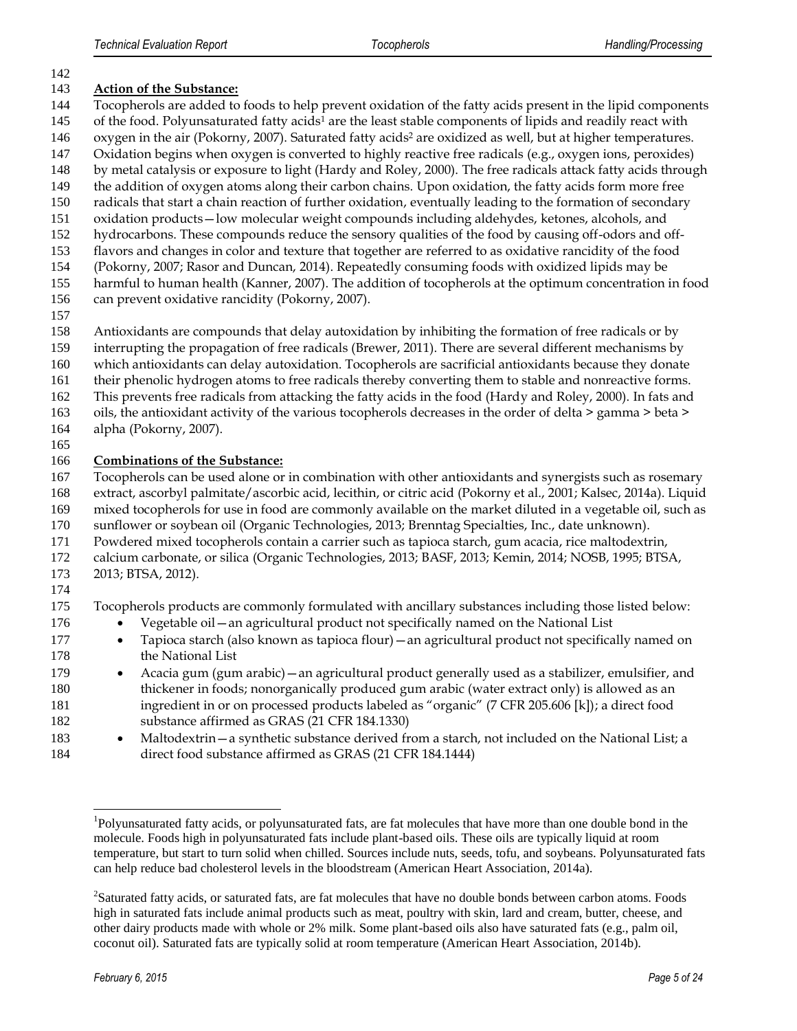#### **Action of the Substance:**

Tocopherols are added to foods to help prevent oxidation of the fatty acids present in the lipid components

- 145 of the food. Polyunsaturated fatty acids<sup>1</sup> are the least stable components of lipids and readily react with 146 oxygen in the air (Pokorny, 2007). Saturated fatty acids<sup>2</sup> are oxidized as well, but at higher temperatures.
- Oxidation begins when oxygen is converted to highly reactive free radicals (e.g., oxygen ions, peroxides)
- by metal catalysis or exposure to light (Hardy and Roley, 2000). The free radicals attack fatty acids through
- 149 the addition of oxygen atoms along their carbon chains. Upon oxidation, the fatty acids form more free
- radicals that start a chain reaction of further oxidation, eventually leading to the formation of secondary
- oxidation products—low molecular weight compounds including aldehydes, ketones, alcohols, and
- hydrocarbons. These compounds reduce the sensory qualities of the food by causing off-odors and off-
- flavors and changes in color and texture that together are referred to as oxidative rancidity of the food
- (Pokorny, 2007; Rasor and Duncan, 2014). Repeatedly consuming foods with oxidized lipids may be
- harmful to human health (Kanner, 2007). The addition of tocopherols at the optimum concentration in food
- can prevent oxidative rancidity (Pokorny, 2007).
- 
- Antioxidants are compounds that delay autoxidation by inhibiting the formation of free radicals or by
- interrupting the propagation of free radicals (Brewer, 2011). There are several different mechanisms by
- which antioxidants can delay autoxidation. Tocopherols are sacrificial antioxidants because they donate
- their phenolic hydrogen atoms to free radicals thereby converting them to stable and nonreactive forms.
- This prevents free radicals from attacking the fatty acids in the food (Hardy and Roley, 2000). In fats and
- oils, the antioxidant activity of the various tocopherols decreases in the order of delta > gamma > beta >
- alpha (Pokorny, 2007).
- 

#### **Combinations of the Substance:**

- Tocopherols can be used alone or in combination with other antioxidants and synergists such as rosemary
- extract, ascorbyl palmitate/ascorbic acid, lecithin, or citric acid (Pokorny et al., 2001; Kalsec, 2014a). Liquid mixed tocopherols for use in food are commonly available on the market diluted in a vegetable oil, such as
- sunflower or soybean oil (Organic Technologies, 2013; Brenntag Specialties, Inc., date unknown).
- Powdered mixed tocopherols contain a carrier such as tapioca starch, gum acacia, rice maltodextrin,
- calcium carbonate, or silica (Organic Technologies, 2013; BASF, 2013; Kemin, 2014; NOSB, 1995; BTSA,
- 2013; BTSA, 2012).

l

Tocopherols products are commonly formulated with ancillary substances including those listed below:

- 176 Vegetable oil an agricultural product not specifically named on the National List
- **Tapioca starch (also known as tapioca flour)**—an agricultural product not specifically named on the National List
- 179 Acacia gum (gum arabic) an agricultural product generally used as a stabilizer, emulsifier, and thickener in foods; nonorganically produced gum arabic (water extract only) is allowed as an ingredient in or on processed products labeled as "organic" (7 CFR 205.606 [k]); a direct food substance affirmed as GRAS (21 CFR 184.1330)
- **Maltodextrin—a synthetic substance derived from a starch, not included on the National List; a** direct food substance affirmed as GRAS (21 CFR 184.1444)

<sup>&</sup>lt;sup>1</sup>Polyunsaturated fatty acids, or polyunsaturated fats, are fat molecules that have more than one double bond in the molecule. Foods high in polyunsaturated fats include plant-based oils. These oils are typically liquid at room temperature, but start to turn solid when chilled. Sources include nuts, seeds, tofu, and soybeans. Polyunsaturated fats can help reduce bad cholesterol levels in the bloodstream (American Heart Association, 2014a).

Saturated fatty acids, or saturated fats, are fat molecules that have no double bonds between carbon atoms. Foods high in saturated fats include animal products such as meat, poultry with skin, lard and cream, butter, cheese, and other dairy products made with whole or 2% milk. Some plant-based oils also have saturated fats (e.g., palm oil, coconut oil). Saturated fats are typically solid at room temperature (American Heart Association, 2014b).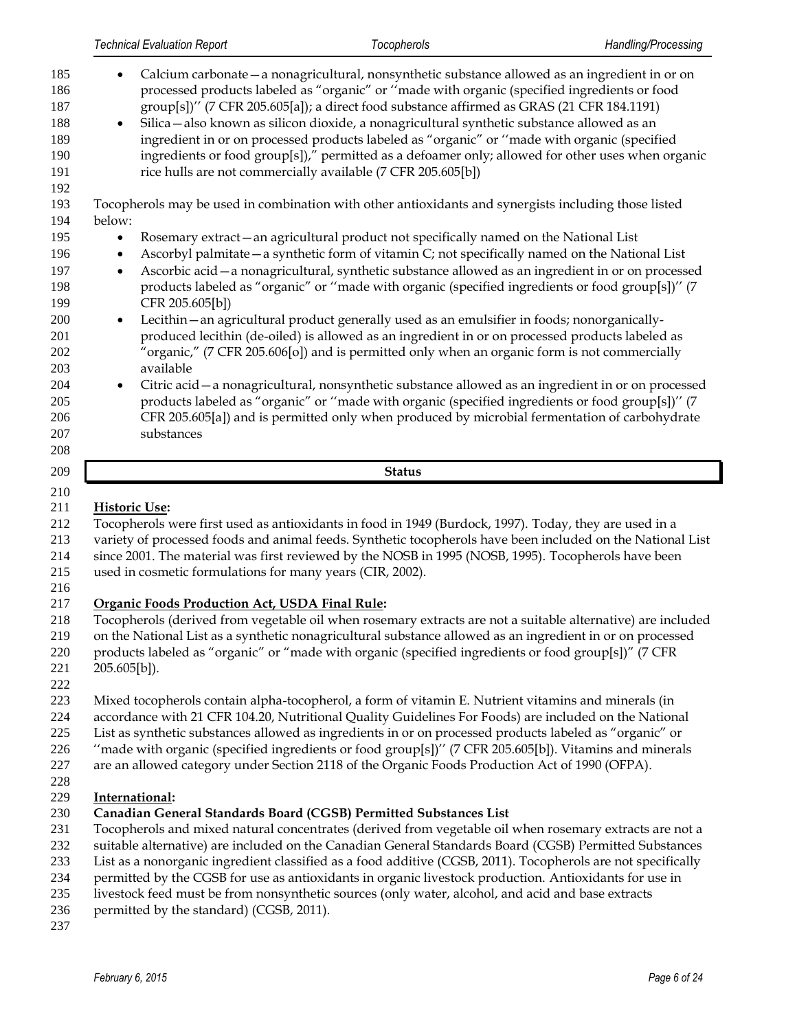| 185<br>186<br>187<br>188<br>189<br>190<br>191<br>192 | Calcium carbonate - a nonagricultural, nonsynthetic substance allowed as an ingredient in or on<br>processed products labeled as "organic" or "made with organic (specified ingredients or food<br>group[s])" (7 CFR 205.605[a]); a direct food substance affirmed as GRAS (21 CFR 184.1191)<br>Silica - also known as silicon dioxide, a nonagricultural synthetic substance allowed as an<br>$\bullet$<br>ingredient in or on processed products labeled as "organic" or "made with organic (specified<br>ingredients or food group[s])," permitted as a defoamer only; allowed for other uses when organic<br>rice hulls are not commercially available (7 CFR 205.605[b]) |
|------------------------------------------------------|-------------------------------------------------------------------------------------------------------------------------------------------------------------------------------------------------------------------------------------------------------------------------------------------------------------------------------------------------------------------------------------------------------------------------------------------------------------------------------------------------------------------------------------------------------------------------------------------------------------------------------------------------------------------------------|
| 193                                                  | Tocopherols may be used in combination with other antioxidants and synergists including those listed                                                                                                                                                                                                                                                                                                                                                                                                                                                                                                                                                                          |
| 194                                                  | below:                                                                                                                                                                                                                                                                                                                                                                                                                                                                                                                                                                                                                                                                        |
| 195                                                  | Rosemary extract - an agricultural product not specifically named on the National List                                                                                                                                                                                                                                                                                                                                                                                                                                                                                                                                                                                        |
| 196                                                  | Ascorbyl palmitate – a synthetic form of vitamin C; not specifically named on the National List<br>$\bullet$                                                                                                                                                                                                                                                                                                                                                                                                                                                                                                                                                                  |
| 197                                                  | Ascorbic acid - a nonagricultural, synthetic substance allowed as an ingredient in or on processed<br>$\bullet$                                                                                                                                                                                                                                                                                                                                                                                                                                                                                                                                                               |
| 198                                                  | products labeled as "organic" or "made with organic (specified ingredients or food group[s])" (7                                                                                                                                                                                                                                                                                                                                                                                                                                                                                                                                                                              |
| 199                                                  | CFR 205.605[b])                                                                                                                                                                                                                                                                                                                                                                                                                                                                                                                                                                                                                                                               |
| 200                                                  | Lecithin - an agricultural product generally used as an emulsifier in foods; nonorganically-<br>$\bullet$                                                                                                                                                                                                                                                                                                                                                                                                                                                                                                                                                                     |
| 201                                                  | produced lecithin (de-oiled) is allowed as an ingredient in or on processed products labeled as                                                                                                                                                                                                                                                                                                                                                                                                                                                                                                                                                                               |
| 202                                                  | "organic," (7 CFR 205.606[o]) and is permitted only when an organic form is not commercially                                                                                                                                                                                                                                                                                                                                                                                                                                                                                                                                                                                  |
| 203                                                  | available                                                                                                                                                                                                                                                                                                                                                                                                                                                                                                                                                                                                                                                                     |
| 204                                                  | Citric acid - a nonagricultural, nonsynthetic substance allowed as an ingredient in or on processed                                                                                                                                                                                                                                                                                                                                                                                                                                                                                                                                                                           |
| 205                                                  | products labeled as "organic" or "made with organic (specified ingredients or food group[s])" (7                                                                                                                                                                                                                                                                                                                                                                                                                                                                                                                                                                              |
| 206                                                  | CFR 205.605[a]) and is permitted only when produced by microbial fermentation of carbohydrate                                                                                                                                                                                                                                                                                                                                                                                                                                                                                                                                                                                 |
| 207                                                  | substances                                                                                                                                                                                                                                                                                                                                                                                                                                                                                                                                                                                                                                                                    |
| 208                                                  |                                                                                                                                                                                                                                                                                                                                                                                                                                                                                                                                                                                                                                                                               |
| 209                                                  | <b>Status</b>                                                                                                                                                                                                                                                                                                                                                                                                                                                                                                                                                                                                                                                                 |

#### **Historic Use:**

Tocopherols were first used as antioxidants in food in 1949 (Burdock, 1997). Today, they are used in a

 variety of processed foods and animal feeds. Synthetic tocopherols have been included on the National List since 2001. The material was first reviewed by the NOSB in 1995 (NOSB, 1995). Tocopherols have been

used in cosmetic formulations for many years (CIR, 2002).

#### **Organic Foods Production Act, USDA Final Rule:**

Tocopherols (derived from vegetable oil when rosemary extracts are not a suitable alternative) are included

- on the National List as a synthetic nonagricultural substance allowed as an ingredient in or on processed products labeled as "organic" or "made with organic (specified ingredients or food group[s])" (7 CFR
- 205.605[b]).

Mixed tocopherols contain alpha-tocopherol, a form of vitamin E. Nutrient vitamins and minerals (in

- accordance with 21 CFR 104.20, Nutritional Quality Guidelines For Foods) are included on the National
- List as synthetic substances allowed as ingredients in or on processed products labeled as "organic" or
- ''made with organic (specified ingredients or food group[s])'' (7 CFR 205.605[b]). Vitamins and minerals
- are an allowed category under Section 2118 of the Organic Foods Production Act of 1990 (OFPA).

#### 

#### **International:**

#### **Canadian General Standards Board (CGSB) Permitted Substances List**

Tocopherols and mixed natural concentrates (derived from vegetable oil when rosemary extracts are not a

- suitable alternative) are included on the Canadian General Standards Board (CGSB) Permitted Substances
- List as a nonorganic ingredient classified as a food additive (CGSB, 2011). Tocopherols are not specifically
- permitted by the CGSB for use as antioxidants in organic livestock production. Antioxidants for use in
- livestock feed must be from nonsynthetic sources (only water, alcohol, and acid and base extracts
- 236 permitted by the standard) (CGSB, 2011).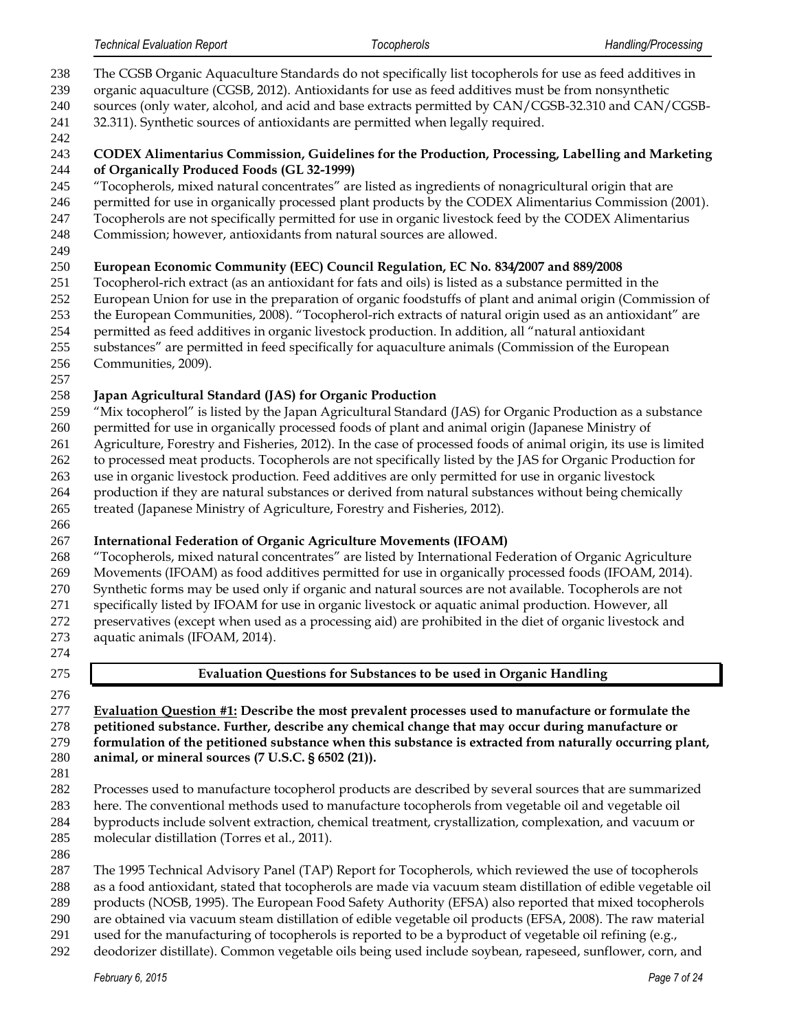- The CGSB Organic Aquaculture Standards do not specifically list tocopherols for use as feed additives in
- organic aquaculture (CGSB, 2012). Antioxidants for use as feed additives must be from nonsynthetic
- sources (only water, alcohol, and acid and base extracts permitted by CAN/CGSB-32.310 and CAN/CGSB-
- 32.311). Synthetic sources of antioxidants are permitted when legally required.
- 

#### **CODEX Alimentarius Commission, Guidelines for the Production, Processing, Labelling and Marketing of Organically Produced Foods (GL 32-1999)**

- "Tocopherols, mixed natural concentrates" are listed as ingredients of nonagricultural origin that are
- permitted for use in organically processed plant products by the CODEX Alimentarius Commission (2001).
- Tocopherols are not specifically permitted for use in organic livestock feed by the CODEX Alimentarius
- Commission; however, antioxidants from natural sources are allowed.

### **European Economic Community (EEC) Council Regulation, EC No. 834/2007 and 889/2008**

- Tocopherol-rich extract (as an antioxidant for fats and oils) is listed as a substance permitted in the
- European Union for use in the preparation of organic foodstuffs of plant and animal origin (Commission of
- the European Communities, 2008). "Tocopherol-rich extracts of natural origin used as an antioxidant" are
- permitted as feed additives in organic livestock production. In addition, all "natural antioxidant
- substances" are permitted in feed specifically for aquaculture animals (Commission of the European
- Communities, 2009).

# **Japan Agricultural Standard (JAS) for Organic Production**

- "Mix tocopherol" is listed by the Japan Agricultural Standard (JAS) for Organic Production as a substance
- permitted for use in organically processed foods of plant and animal origin (Japanese Ministry of
- Agriculture, Forestry and Fisheries, 2012). In the case of processed foods of animal origin, its use is limited
- to processed meat products. Tocopherols are not specifically listed by the JAS for Organic Production for
- use in organic livestock production. Feed additives are only permitted for use in organic livestock
- production if they are natural substances or derived from natural substances without being chemically
- treated (Japanese Ministry of Agriculture, Forestry and Fisheries, 2012).

# **International Federation of Organic Agriculture Movements (IFOAM)**

- "Tocopherols, mixed natural concentrates" are listed by International Federation of Organic Agriculture Movements (IFOAM) as food additives permitted for use in organically processed foods (IFOAM, 2014).
- Synthetic forms may be used only if organic and natural sources are not available. Tocopherols are not specifically listed by IFOAM for use in organic livestock or aquatic animal production. However, all
- preservatives (except when used as a processing aid) are prohibited in the diet of organic livestock and aquatic animals (IFOAM, 2014).
- 

# **Evaluation Questions for Substances to be used in Organic Handling**

- **Evaluation Question #1: Describe the most prevalent processes used to manufacture or formulate the petitioned substance. Further, describe any chemical change that may occur during manufacture or formulation of the petitioned substance when this substance is extracted from naturally occurring plant, animal, or mineral sources (7 U.S.C. § 6502 (21)).**
- 
- Processes used to manufacture tocopherol products are described by several sources that are summarized here. The conventional methods used to manufacture tocopherols from vegetable oil and vegetable oil byproducts include solvent extraction, chemical treatment, crystallization, complexation, and vacuum or molecular distillation (Torres et al., 2011).
- 
- The 1995 Technical Advisory Panel (TAP) Report for Tocopherols, which reviewed the use of tocopherols as a food antioxidant, stated that tocopherols are made via vacuum steam distillation of edible vegetable oil
- products (NOSB, 1995). The European Food Safety Authority (EFSA) also reported that mixed tocopherols
- are obtained via vacuum steam distillation of edible vegetable oil products (EFSA, 2008). The raw material
- used for the manufacturing of tocopherols is reported to be a byproduct of vegetable oil refining (e.g.,
- deodorizer distillate). Common vegetable oils being used include soybean, rapeseed, sunflower, corn, and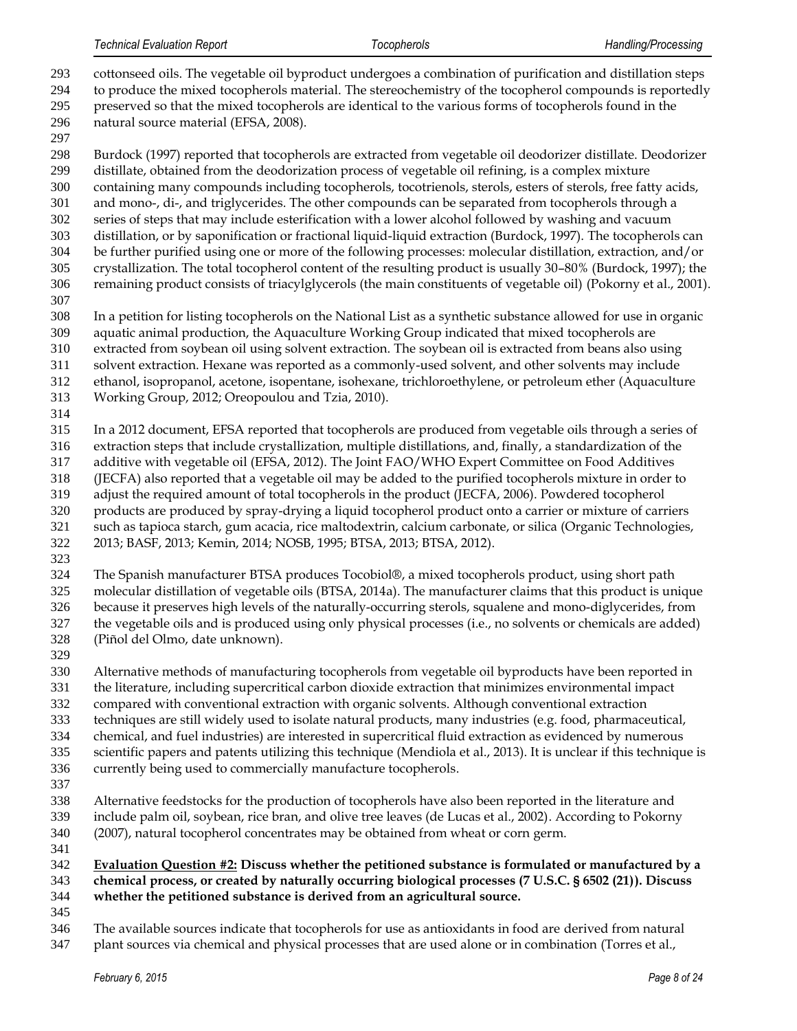| 293<br>294 | cottonseed oils. The vegetable oil byproduct undergoes a combination of purification and distillation steps<br>to produce the mixed tocopherols material. The stereochemistry of the tocopherol compounds is reportedly |
|------------|-------------------------------------------------------------------------------------------------------------------------------------------------------------------------------------------------------------------------|
| 295        | preserved so that the mixed tocopherols are identical to the various forms of tocopherols found in the                                                                                                                  |
| 296        | natural source material (EFSA, 2008).                                                                                                                                                                                   |
| 297        |                                                                                                                                                                                                                         |
| 298        | Burdock (1997) reported that tocopherols are extracted from vegetable oil deodorizer distillate. Deodorizer                                                                                                             |
| 299        | distillate, obtained from the deodorization process of vegetable oil refining, is a complex mixture                                                                                                                     |
| 300        | containing many compounds including tocopherols, tocotrienols, sterols, esters of sterols, free fatty acids,                                                                                                            |
| 301        | and mono-, di-, and triglycerides. The other compounds can be separated from tocopherols through a                                                                                                                      |
| 302        | series of steps that may include esterification with a lower alcohol followed by washing and vacuum                                                                                                                     |
| 303        | distillation, or by saponification or fractional liquid-liquid extraction (Burdock, 1997). The tocopherols can                                                                                                          |
| 304        | be further purified using one or more of the following processes: molecular distillation, extraction, and/or                                                                                                            |
| 305        | crystallization. The total tocopherol content of the resulting product is usually 30-80% (Burdock, 1997); the                                                                                                           |
| 306        | remaining product consists of triacylglycerols (the main constituents of vegetable oil) (Pokorny et al., 2001).                                                                                                         |
| 307        |                                                                                                                                                                                                                         |
| 308        | In a petition for listing tocopherols on the National List as a synthetic substance allowed for use in organic                                                                                                          |
| 309        | aquatic animal production, the Aquaculture Working Group indicated that mixed tocopherols are                                                                                                                           |
| 310        | extracted from soybean oil using solvent extraction. The soybean oil is extracted from beans also using                                                                                                                 |
| 311        | solvent extraction. Hexane was reported as a commonly-used solvent, and other solvents may include                                                                                                                      |
| 312        | ethanol, isopropanol, acetone, isopentane, isohexane, trichloroethylene, or petroleum ether (Aquaculture                                                                                                                |
| 313        | Working Group, 2012; Oreopoulou and Tzia, 2010).                                                                                                                                                                        |
| 314        |                                                                                                                                                                                                                         |
| 315        | In a 2012 document, EFSA reported that tocopherols are produced from vegetable oils through a series of                                                                                                                 |
| 316        | extraction steps that include crystallization, multiple distillations, and, finally, a standardization of the                                                                                                           |
| 317        | additive with vegetable oil (EFSA, 2012). The Joint FAO/WHO Expert Committee on Food Additives                                                                                                                          |
| 318        | (JECFA) also reported that a vegetable oil may be added to the purified tocopherols mixture in order to                                                                                                                 |
| 319        | adjust the required amount of total tocopherols in the product (JECFA, 2006). Powdered tocopherol                                                                                                                       |
| 320        | products are produced by spray-drying a liquid tocopherol product onto a carrier or mixture of carriers                                                                                                                 |
| 321        | such as tapioca starch, gum acacia, rice maltodextrin, calcium carbonate, or silica (Organic Technologies,                                                                                                              |
| 322        | 2013; BASF, 2013; Kemin, 2014; NOSB, 1995; BTSA, 2013; BTSA, 2012).                                                                                                                                                     |
| 323        |                                                                                                                                                                                                                         |
| 324        | The Spanish manufacturer BTSA produces Tocobiol®, a mixed tocopherols product, using short path                                                                                                                         |
| 325        | molecular distillation of vegetable oils (BTSA, 2014a). The manufacturer claims that this product is unique                                                                                                             |
| 326        | because it preserves high levels of the naturally-occurring sterols, squalene and mono-diglycerides, from                                                                                                               |
| 327        | the vegetable oils and is produced using only physical processes (i.e., no solvents or chemicals are added)                                                                                                             |
| 328        | (Piñol del Olmo, date unknown).                                                                                                                                                                                         |
| 329<br>330 |                                                                                                                                                                                                                         |
| 331        | Alternative methods of manufacturing tocopherols from vegetable oil byproducts have been reported in<br>the literature, including supercritical carbon dioxide extraction that minimizes environmental impact           |
| 332        | compared with conventional extraction with organic solvents. Although conventional extraction                                                                                                                           |
| 333        | techniques are still widely used to isolate natural products, many industries (e.g. food, pharmaceutical,                                                                                                               |
| 334        | chemical, and fuel industries) are interested in supercritical fluid extraction as evidenced by numerous                                                                                                                |
| 335        | scientific papers and patents utilizing this technique (Mendiola et al., 2013). It is unclear if this technique is                                                                                                      |
| 336        | currently being used to commercially manufacture tocopherols.                                                                                                                                                           |
| 337        |                                                                                                                                                                                                                         |
| 338        | Alternative feedstocks for the production of tocopherols have also been reported in the literature and                                                                                                                  |
| 339        | include palm oil, soybean, rice bran, and olive tree leaves (de Lucas et al., 2002). According to Pokorny                                                                                                               |
| 340        | (2007), natural tocopherol concentrates may be obtained from wheat or corn germ.                                                                                                                                        |

#### **Evaluation Question #2: Discuss whether the petitioned substance is formulated or manufactured by a chemical process, or created by naturally occurring biological processes (7 U.S.C. § 6502 (21)). Discuss whether the petitioned substance is derived from an agricultural source.**

 The available sources indicate that tocopherols for use as antioxidants in food are derived from natural 347 plant sources via chemical and physical processes that are used alone or in combination (Torres et al.,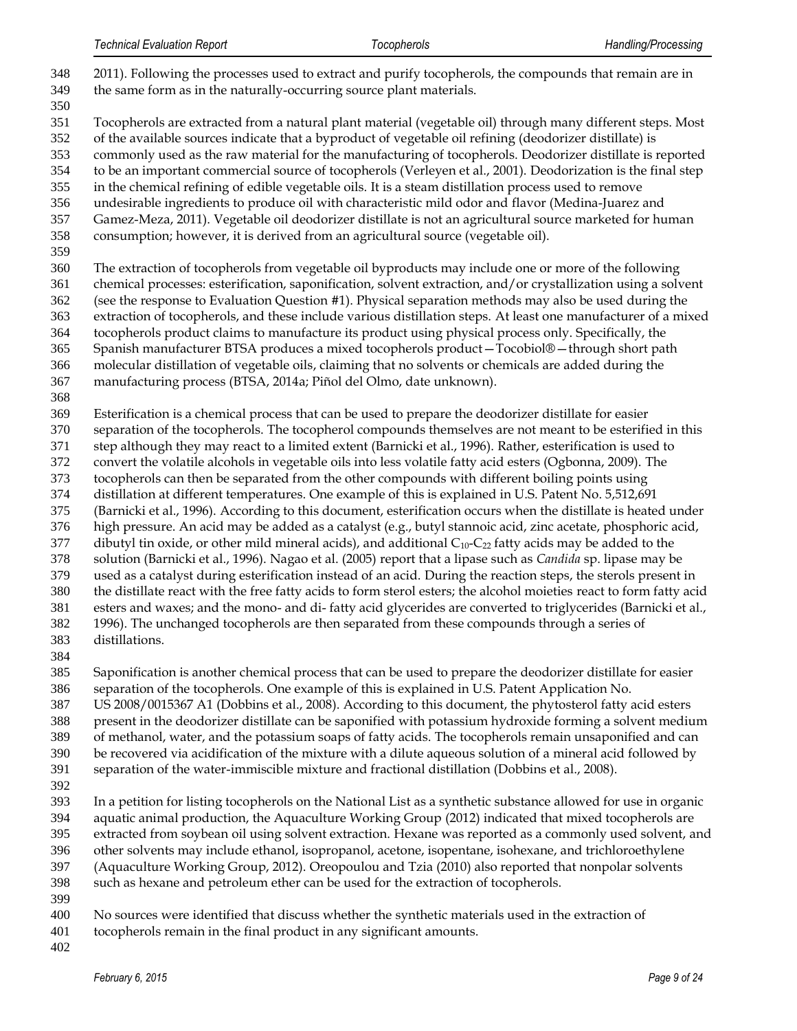- 2011). Following the processes used to extract and purify tocopherols, the compounds that remain are in the same form as in the naturally-occurring source plant materials. Tocopherols are extracted from a natural plant material (vegetable oil) through many different steps. Most of the available sources indicate that a byproduct of vegetable oil refining (deodorizer distillate) is commonly used as the raw material for the manufacturing of tocopherols. Deodorizer distillate is reported to be an important commercial source of tocopherols (Verleyen et al., 2001). Deodorization is the final step in the chemical refining of edible vegetable oils. It is a steam distillation process used to remove undesirable ingredients to produce oil with characteristic mild odor and flavor (Medina-Juarez and Gamez-Meza, 2011). Vegetable oil deodorizer distillate is not an agricultural source marketed for human consumption; however, it is derived from an agricultural source (vegetable oil). The extraction of tocopherols from vegetable oil byproducts may include one or more of the following chemical processes: esterification, saponification, solvent extraction, and/or crystallization using a solvent (see the response to Evaluation Question #1). Physical separation methods may also be used during the extraction of tocopherols, and these include various distillation steps. At least one manufacturer of a mixed tocopherols product claims to manufacture its product using physical process only. Specifically, the Spanish manufacturer BTSA produces a mixed tocopherols product—Tocobiol®—through short path molecular distillation of vegetable oils, claiming that no solvents or chemicals are added during the manufacturing process (BTSA, 2014a; Piñol del Olmo, date unknown). Esterification is a chemical process that can be used to prepare the deodorizer distillate for easier separation of the tocopherols. The tocopherol compounds themselves are not meant to be esterified in this step although they may react to a limited extent (Barnicki et al., 1996). Rather, esterification is used to convert the volatile alcohols in vegetable oils into less volatile fatty acid esters (Ogbonna, 2009). The tocopherols can then be separated from the other compounds with different boiling points using distillation at different temperatures. One example of this is explained in U.S. Patent No. 5,512,691 (Barnicki et al., 1996). According to this document, esterification occurs when the distillate is heated under high pressure. An acid may be added as a catalyst (e.g., butyl stannoic acid, zinc acetate, phosphoric acid, 377 dibutyl tin oxide, or other mild mineral acids), and additional  $C_{10}$ - $C_{22}$  fatty acids may be added to the solution (Barnicki et al., 1996). Nagao et al. (2005) report that a lipase such as *Candida* sp. lipase may be used as a catalyst during esterification instead of an acid. During the reaction steps, the sterols present in the distillate react with the free fatty acids to form sterol esters; the alcohol moieties react to form fatty acid esters and waxes; and the mono- and di- fatty acid glycerides are converted to triglycerides (Barnicki et al., 1996). The unchanged tocopherols are then separated from these compounds through a series of distillations. Saponification is another chemical process that can be used to prepare the deodorizer distillate for easier separation of the tocopherols. One example of this is explained in U.S. Patent Application No. US 2008/0015367 A1 (Dobbins et al., 2008). According to this document, the phytosterol fatty acid esters present in the deodorizer distillate can be saponified with potassium hydroxide forming a solvent medium of methanol, water, and the potassium soaps of fatty acids. The tocopherols remain unsaponified and can be recovered via acidification of the mixture with a dilute aqueous solution of a mineral acid followed by separation of the water-immiscible mixture and fractional distillation (Dobbins et al., 2008). In a petition for listing tocopherols on the National List as a synthetic substance allowed for use in organic aquatic animal production, the Aquaculture Working Group (2012) indicated that mixed tocopherols are extracted from soybean oil using solvent extraction. Hexane was reported as a commonly used solvent, and other solvents may include ethanol, isopropanol, acetone, isopentane, isohexane, and trichloroethylene (Aquaculture Working Group, 2012). Oreopoulou and Tzia (2010) also reported that nonpolar solvents such as hexane and petroleum ether can be used for the extraction of tocopherols.
- 
- No sources were identified that discuss whether the synthetic materials used in the extraction of
- tocopherols remain in the final product in any significant amounts.
-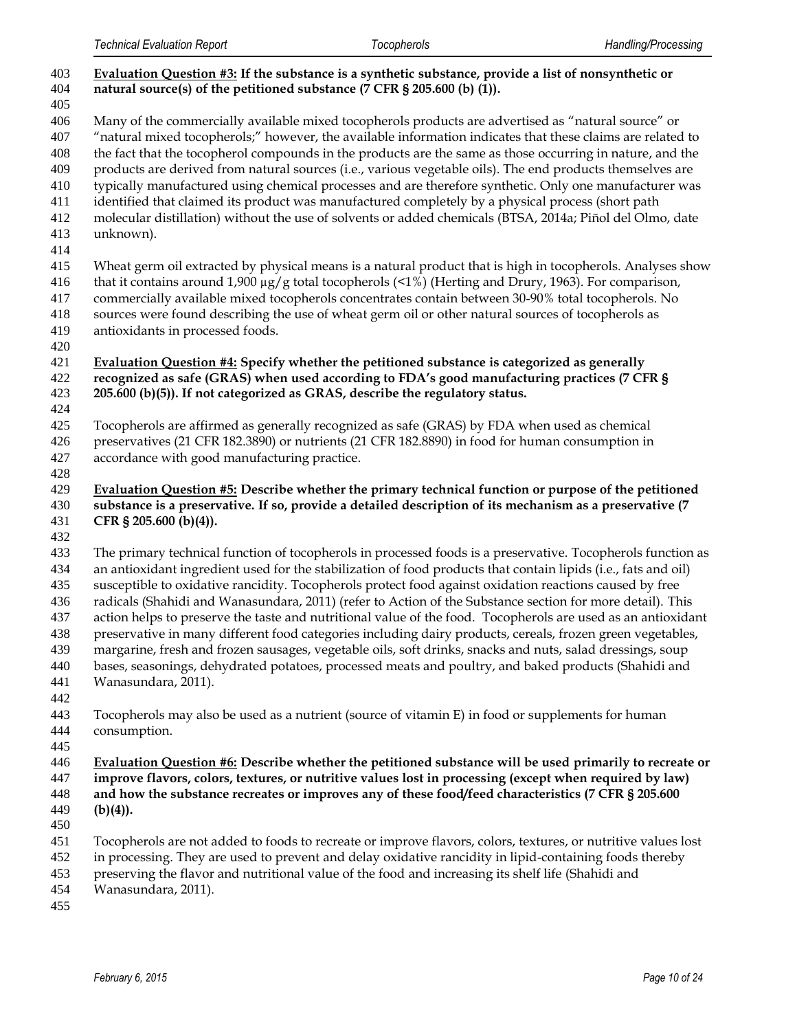| 403<br>404 | Evaluation Question #3: If the substance is a synthetic substance, provide a list of nonsynthetic or<br>natural source(s) of the petitioned substance (7 CFR § 205.600 (b) (1)).                                        |
|------------|-------------------------------------------------------------------------------------------------------------------------------------------------------------------------------------------------------------------------|
| 405        |                                                                                                                                                                                                                         |
| 406<br>407 | Many of the commercially available mixed tocopherols products are advertised as "natural source" or                                                                                                                     |
| 408        | "natural mixed tocopherols;" however, the available information indicates that these claims are related to<br>the fact that the tocopherol compounds in the products are the same as those occurring in nature, and the |
| 409        | products are derived from natural sources (i.e., various vegetable oils). The end products themselves are                                                                                                               |
| 410        | typically manufactured using chemical processes and are therefore synthetic. Only one manufacturer was                                                                                                                  |
| 411        | identified that claimed its product was manufactured completely by a physical process (short path                                                                                                                       |
| 412        | molecular distillation) without the use of solvents or added chemicals (BTSA, 2014a; Piñol del Olmo, date                                                                                                               |
| 413        | unknown).                                                                                                                                                                                                               |
| 414        |                                                                                                                                                                                                                         |
| 415        | Wheat germ oil extracted by physical means is a natural product that is high in tocopherols. Analyses show                                                                                                              |
| 416        | that it contains around 1,900 $\mu$ g/g total tocopherols (<1%) (Herting and Drury, 1963). For comparison,                                                                                                              |
| 417        | commercially available mixed tocopherols concentrates contain between 30-90% total tocopherols. No                                                                                                                      |
| 418        | sources were found describing the use of wheat germ oil or other natural sources of tocopherols as                                                                                                                      |
| 419        | antioxidants in processed foods.                                                                                                                                                                                        |
| 420        |                                                                                                                                                                                                                         |
| 421        | Evaluation Question #4: Specify whether the petitioned substance is categorized as generally                                                                                                                            |
| 422        | recognized as safe (GRAS) when used according to FDA's good manufacturing practices (7 CFR §                                                                                                                            |
| 423        | 205.600 (b)(5)). If not categorized as GRAS, describe the regulatory status.                                                                                                                                            |
| 424<br>425 | Tocopherols are affirmed as generally recognized as safe (GRAS) by FDA when used as chemical                                                                                                                            |
| 426        | preservatives (21 CFR 182.3890) or nutrients (21 CFR 182.8890) in food for human consumption in                                                                                                                         |
| 427        | accordance with good manufacturing practice.                                                                                                                                                                            |
| 428        |                                                                                                                                                                                                                         |
| 429        | Evaluation Question #5: Describe whether the primary technical function or purpose of the petitioned                                                                                                                    |
| 430        | substance is a preservative. If so, provide a detailed description of its mechanism as a preservative (7                                                                                                                |
| 431        | CFR § 205.600 (b)(4)).                                                                                                                                                                                                  |
| 432        |                                                                                                                                                                                                                         |
| 433        | The primary technical function of tocopherols in processed foods is a preservative. Tocopherols function as                                                                                                             |
| 434        | an antioxidant ingredient used for the stabilization of food products that contain lipids (i.e., fats and oil)                                                                                                          |
| 435        | susceptible to oxidative rancidity. Tocopherols protect food against oxidation reactions caused by free                                                                                                                 |
| 436        | radicals (Shahidi and Wanasundara, 2011) (refer to Action of the Substance section for more detail). This                                                                                                               |
| 437        | action helps to preserve the taste and nutritional value of the food. Tocopherols are used as an antioxidant                                                                                                            |
| 438        | preservative in many different food categories including dairy products, cereals, frozen green vegetables,                                                                                                              |
| 439<br>440 | margarine, fresh and frozen sausages, vegetable oils, soft drinks, snacks and nuts, salad dressings, soup<br>bases, seasonings, dehydrated potatoes, processed meats and poultry, and baked products (Shahidi and       |
| 441        | Wanasundara, 2011).                                                                                                                                                                                                     |
| 442        |                                                                                                                                                                                                                         |
| 443        | Tocopherols may also be used as a nutrient (source of vitamin E) in food or supplements for human                                                                                                                       |
| 444        | consumption.                                                                                                                                                                                                            |
| 445        |                                                                                                                                                                                                                         |
| 446        | Evaluation Question #6: Describe whether the petitioned substance will be used primarily to recreate or                                                                                                                 |
| 447        | improve flavors, colors, textures, or nutritive values lost in processing (except when required by law)                                                                                                                 |
| 448        | and how the substance recreates or improves any of these food/feed characteristics (7 CFR § 205.600                                                                                                                     |
| 449        | $(b)(4)$ ).                                                                                                                                                                                                             |
| 450        |                                                                                                                                                                                                                         |
| 451        | Tocopherols are not added to foods to recreate or improve flavors, colors, textures, or nutritive values lost                                                                                                           |
| 452        | in processing. They are used to prevent and delay oxidative rancidity in lipid-containing foods thereby                                                                                                                 |
| 453        | preserving the flavor and nutritional value of the food and increasing its shelf life (Shahidi and                                                                                                                      |
| 454        | Wanasundara, 2011).                                                                                                                                                                                                     |
| 455        |                                                                                                                                                                                                                         |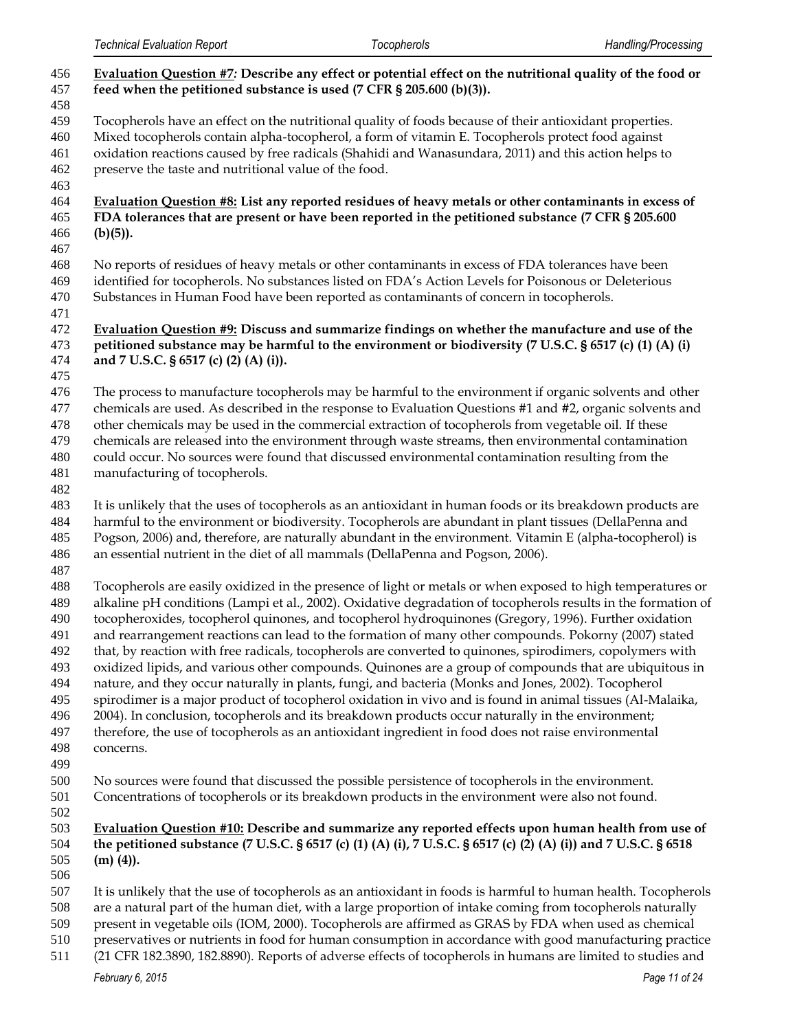| 456<br>457<br>458                                                                | Evaluation Question #7: Describe any effect or potential effect on the nutritional quality of the food or<br>feed when the petitioned substance is used $(7 \text{ CFR } $ 205.600 \text{ (b)}(3))$ .                                                                                                                                                                                                                                                                                                                                                                                                                                                                                                                                                                                                                                                                                                                                                                                                                                                                                                          |
|----------------------------------------------------------------------------------|----------------------------------------------------------------------------------------------------------------------------------------------------------------------------------------------------------------------------------------------------------------------------------------------------------------------------------------------------------------------------------------------------------------------------------------------------------------------------------------------------------------------------------------------------------------------------------------------------------------------------------------------------------------------------------------------------------------------------------------------------------------------------------------------------------------------------------------------------------------------------------------------------------------------------------------------------------------------------------------------------------------------------------------------------------------------------------------------------------------|
| 459<br>460<br>461<br>462<br>463                                                  | Tocopherols have an effect on the nutritional quality of foods because of their antioxidant properties.<br>Mixed tocopherols contain alpha-tocopherol, a form of vitamin E. Tocopherols protect food against<br>oxidation reactions caused by free radicals (Shahidi and Wanasundara, 2011) and this action helps to<br>preserve the taste and nutritional value of the food.                                                                                                                                                                                                                                                                                                                                                                                                                                                                                                                                                                                                                                                                                                                                  |
| 464<br>465<br>466<br>467                                                         | Evaluation Question #8: List any reported residues of heavy metals or other contaminants in excess of<br>FDA tolerances that are present or have been reported in the petitioned substance (7 CFR § 205.600<br>$(b)(5)$ ).                                                                                                                                                                                                                                                                                                                                                                                                                                                                                                                                                                                                                                                                                                                                                                                                                                                                                     |
| 468<br>469<br>470<br>471                                                         | No reports of residues of heavy metals or other contaminants in excess of FDA tolerances have been<br>identified for tocopherols. No substances listed on FDA's Action Levels for Poisonous or Deleterious<br>Substances in Human Food have been reported as contaminants of concern in tocopherols.                                                                                                                                                                                                                                                                                                                                                                                                                                                                                                                                                                                                                                                                                                                                                                                                           |
| 472<br>473<br>474<br>475                                                         | Evaluation Question #9: Discuss and summarize findings on whether the manufacture and use of the<br>petitioned substance may be harmful to the environment or biodiversity (7 U.S.C. § 6517 (c) (1) (A) (i)<br>and 7 U.S.C. § 6517 (c) (2) (A) (i)).                                                                                                                                                                                                                                                                                                                                                                                                                                                                                                                                                                                                                                                                                                                                                                                                                                                           |
| 476<br>477<br>478<br>479<br>480<br>481<br>482                                    | The process to manufacture tocopherols may be harmful to the environment if organic solvents and other<br>chemicals are used. As described in the response to Evaluation Questions #1 and #2, organic solvents and<br>other chemicals may be used in the commercial extraction of tocopherols from vegetable oil. If these<br>chemicals are released into the environment through waste streams, then environmental contamination<br>could occur. No sources were found that discussed environmental contamination resulting from the<br>manufacturing of tocopherols.                                                                                                                                                                                                                                                                                                                                                                                                                                                                                                                                         |
| 483<br>484<br>485<br>486<br>487                                                  | It is unlikely that the uses of tocopherols as an antioxidant in human foods or its breakdown products are<br>harmful to the environment or biodiversity. Tocopherols are abundant in plant tissues (DellaPenna and<br>Pogson, 2006) and, therefore, are naturally abundant in the environment. Vitamin E (alpha-tocopherol) is<br>an essential nutrient in the diet of all mammals (DellaPenna and Pogson, 2006).                                                                                                                                                                                                                                                                                                                                                                                                                                                                                                                                                                                                                                                                                             |
| 488<br>489<br>490<br>491<br>492<br>493<br>494<br>495<br>496<br>497<br>498<br>499 | Tocopherols are easily oxidized in the presence of light or metals or when exposed to high temperatures or<br>alkaline pH conditions (Lampi et al., 2002). Oxidative degradation of tocopherols results in the formation of<br>tocopheroxides, tocopherol quinones, and tocopherol hydroquinones (Gregory, 1996). Further oxidation<br>and rearrangement reactions can lead to the formation of many other compounds. Pokorny (2007) stated<br>that, by reaction with free radicals, tocopherols are converted to quinones, spirodimers, copolymers with<br>oxidized lipids, and various other compounds. Quinones are a group of compounds that are ubiquitous in<br>nature, and they occur naturally in plants, fungi, and bacteria (Monks and Jones, 2002). Tocopherol<br>spirodimer is a major product of tocopherol oxidation in vivo and is found in animal tissues (Al-Malaika,<br>2004). In conclusion, tocopherols and its breakdown products occur naturally in the environment;<br>therefore, the use of tocopherols as an antioxidant ingredient in food does not raise environmental<br>concerns. |
| 500<br>501<br>502                                                                | No sources were found that discussed the possible persistence of tocopherols in the environment.<br>Concentrations of tocopherols or its breakdown products in the environment were also not found.                                                                                                                                                                                                                                                                                                                                                                                                                                                                                                                                                                                                                                                                                                                                                                                                                                                                                                            |
| 503<br>504<br>505<br>506                                                         | Evaluation Question #10: Describe and summarize any reported effects upon human health from use of<br>the petitioned substance (7 U.S.C. § 6517 (c) (1) (A) (i), 7 U.S.C. § 6517 (c) (2) (A) (i)) and 7 U.S.C. § 6518<br>$(m)$ (4)).                                                                                                                                                                                                                                                                                                                                                                                                                                                                                                                                                                                                                                                                                                                                                                                                                                                                           |
| 507<br>508<br>509                                                                | It is unlikely that the use of tocopherols as an antioxidant in foods is harmful to human health. Tocopherols<br>are a natural part of the human diet, with a large proportion of intake coming from tocopherols naturally<br>present in vegetable oils (IOM, 2000). Tocopherols are affirmed as GRAS by FDA when used as chemical                                                                                                                                                                                                                                                                                                                                                                                                                                                                                                                                                                                                                                                                                                                                                                             |

- preservatives or nutrients in food for human consumption in accordance with good manufacturing practice
- *February 6, 2015 Page 11 of 24* (21 CFR 182.3890, 182.8890). Reports of adverse effects of tocopherols in humans are limited to studies and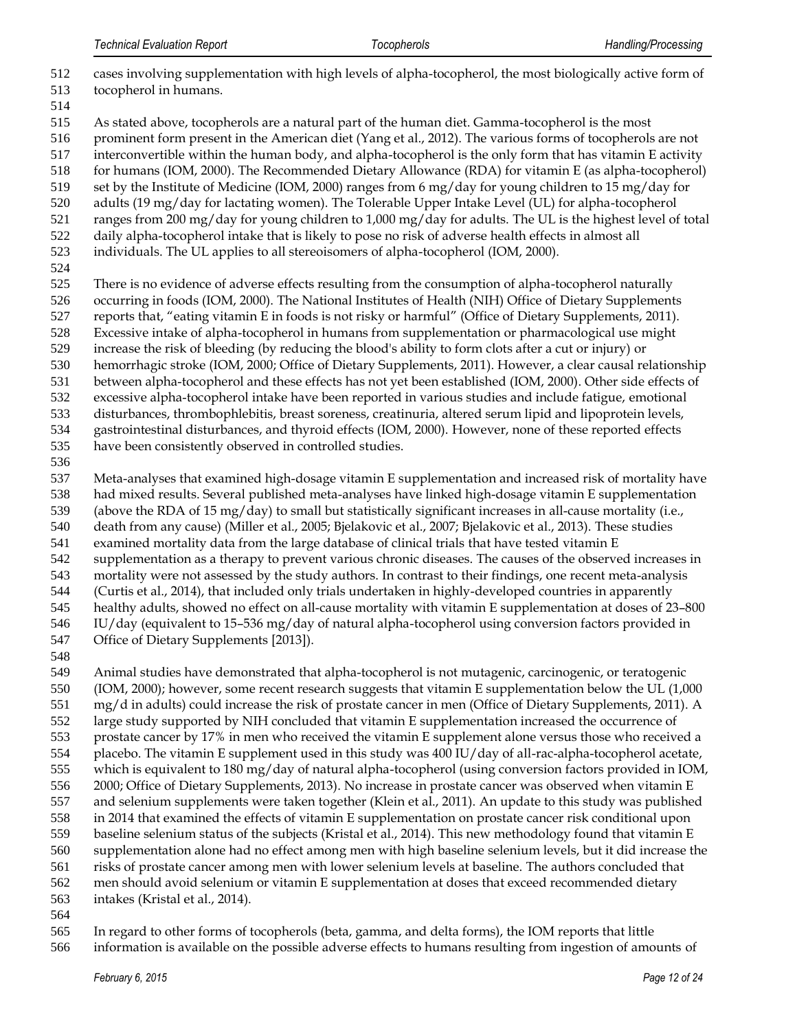- cases involving supplementation with high levels of alpha-tocopherol, the most biologically active form of tocopherol in humans.
- As stated above, tocopherols are a natural part of the human diet. Gamma-tocopherol is the most
- prominent form present in the American diet (Yang et al., 2012). The various forms of tocopherols are not
- interconvertible within the human body, and alpha-tocopherol is the only form that has vitamin E activity
- for humans (IOM, 2000). The Recommended Dietary Allowance (RDA) for vitamin E (as alpha-tocopherol)
- set by the Institute of Medicine (IOM, 2000) ranges from 6 mg/day for young children to 15 mg/day for adults (19 mg/day for lactating women). The Tolerable Upper Intake Level (UL) for alpha-tocopherol
- ranges from 200 mg/day for young children to 1,000 mg/day for adults. The UL is the highest level of total
- daily alpha-tocopherol intake that is likely to pose no risk of adverse health effects in almost all
- individuals. The UL applies to all stereoisomers of alpha-tocopherol (IOM, 2000).
- 
- There is no evidence of adverse effects resulting from the consumption of alpha-tocopherol naturally occurring in foods (IOM, 2000). The National Institutes of Health (NIH) Office of Dietary Supplements reports that, "eating vitamin E in foods is not risky or harmful" (Office of Dietary Supplements, 2011).
- Excessive intake of alpha-tocopherol in humans from supplementation or pharmacological use might
- increase the risk of bleeding (by reducing the blood's ability to form clots after a cut or injury) or
- hemorrhagic stroke (IOM, 2000; Office of Dietary Supplements, 2011). However, a clear causal relationship
- between alpha-tocopherol and these effects has not yet been established (IOM, 2000). Other side effects of
- excessive alpha-tocopherol intake have been reported in various studies and include fatigue, emotional
- disturbances, thrombophlebitis, breast soreness, creatinuria, altered serum lipid and lipoprotein levels,
- gastrointestinal disturbances, and thyroid effects (IOM, 2000). However, none of these reported effects
- have been consistently observed in controlled studies.
- 

 Meta-analyses that examined high-dosage vitamin E supplementation and increased risk of mortality have had mixed results. Several published meta-analyses have linked high-dosage vitamin E supplementation (above the RDA of 15 mg/day) to small but statistically significant increases in all-cause mortality (i.e., death from any cause) (Miller et al., 2005; Bjelakovic et al., 2007; Bjelakovic et al., 2013). These studies examined mortality data from the large database of clinical trials that have tested vitamin E supplementation as a therapy to prevent various chronic diseases. The causes of the observed increases in mortality were not assessed by the study authors. In contrast to their findings, one recent meta-analysis (Curtis et al., 2014), that included only trials undertaken in highly-developed countries in apparently healthy adults, showed no effect on all-cause mortality with vitamin E supplementation at doses of 23–800

- IU/day (equivalent to 15–536 mg/day of natural alpha-tocopherol using conversion factors provided in
- 547 Office of Dietary Supplements [2013]).
- 

 Animal studies have demonstrated that alpha-tocopherol is not mutagenic, carcinogenic, or teratogenic (IOM, 2000); however, some recent research suggests that vitamin E supplementation below the UL (1,000 mg/d in adults) could increase the risk of prostate cancer in men (Office of Dietary Supplements, 2011). A large study supported by NIH concluded that vitamin E supplementation increased the occurrence of prostate cancer by 17% in men who received the vitamin E supplement alone versus those who received a

- placebo. The vitamin E supplement used in this study was 400 IU/day of all-rac-alpha-tocopherol acetate,
- which is equivalent to 180 mg/day of natural alpha-tocopherol (using conversion factors provided in IOM,
- 2000; Office of Dietary Supplements, 2013). No increase in prostate cancer was observed when vitamin E
- and selenium supplements were taken together (Klein et al., 2011). An update to this study was published in 2014 that examined the effects of vitamin E supplementation on prostate cancer risk conditional upon
- baseline selenium status of the subjects (Kristal et al., 2014). This new methodology found that vitamin E
- supplementation alone had no effect among men with high baseline selenium levels, but it did increase the
- risks of prostate cancer among men with lower selenium levels at baseline. The authors concluded that
- men should avoid selenium or vitamin E supplementation at doses that exceed recommended dietary
- intakes (Kristal et al., 2014).
- 
- In regard to other forms of tocopherols (beta, gamma, and delta forms), the IOM reports that little
- information is available on the possible adverse effects to humans resulting from ingestion of amounts of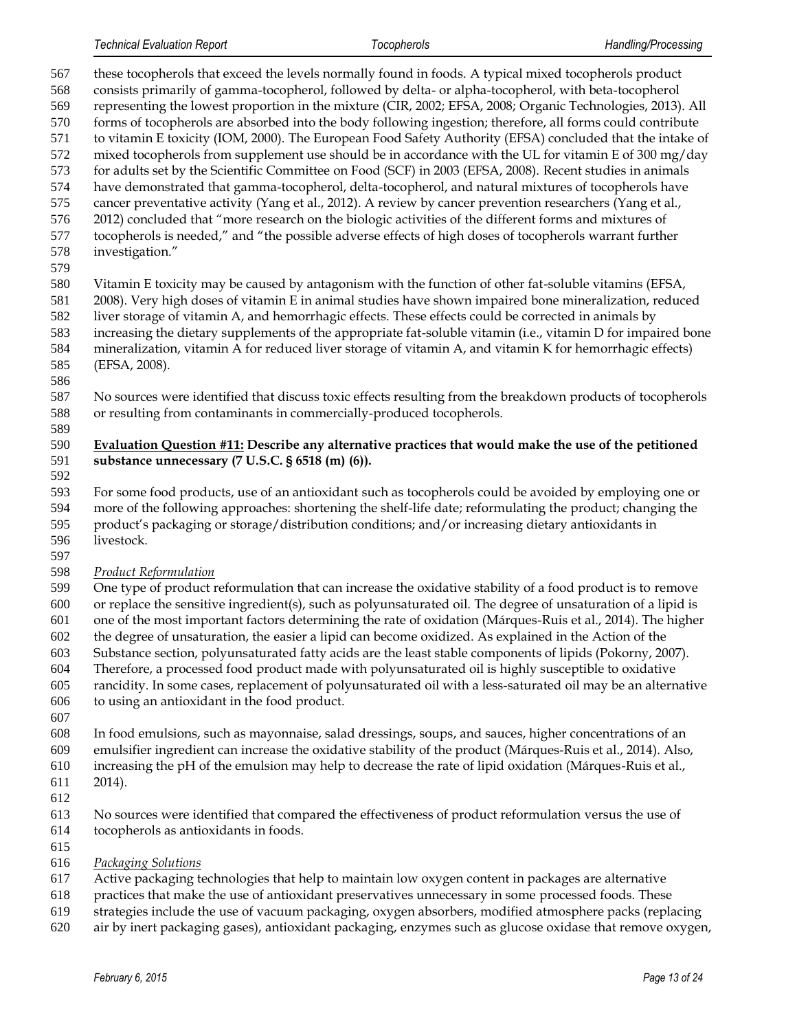these tocopherols that exceed the levels normally found in foods. A typical mixed tocopherols product consists primarily of gamma-tocopherol, followed by delta- or alpha-tocopherol, with beta-tocopherol representing the lowest proportion in the mixture (CIR, 2002; EFSA, 2008; Organic Technologies, 2013). All forms of tocopherols are absorbed into the body following ingestion; therefore, all forms could contribute to vitamin E toxicity (IOM, 2000). The European Food Safety Authority (EFSA) concluded that the intake of 572 mixed tocopherols from supplement use should be in accordance with the UL for vitamin E of 300 mg/day for adults set by the Scientific Committee on Food (SCF) in 2003 (EFSA, 2008). Recent studies in animals have demonstrated that gamma-tocopherol, delta-tocopherol, and natural mixtures of tocopherols have cancer preventative activity (Yang et al., 2012). A review by cancer prevention researchers (Yang et al., 2012) concluded that "more research on the biologic activities of the different forms and mixtures of tocopherols is needed," and "the possible adverse effects of high doses of tocopherols warrant further investigation." Vitamin E toxicity may be caused by antagonism with the function of other fat-soluble vitamins (EFSA, 2008). Very high doses of vitamin E in animal studies have shown impaired bone mineralization, reduced liver storage of vitamin A, and hemorrhagic effects. These effects could be corrected in animals by increasing the dietary supplements of the appropriate fat-soluble vitamin (i.e., vitamin D for impaired bone mineralization, vitamin A for reduced liver storage of vitamin A, and vitamin K for hemorrhagic effects) (EFSA, 2008). No sources were identified that discuss toxic effects resulting from the breakdown products of tocopherols or resulting from contaminants in commercially-produced tocopherols. **Evaluation Question #11: Describe any alternative practices that would make the use of the petitioned substance unnecessary (7 U.S.C. § 6518 (m) (6)).** For some food products, use of an antioxidant such as tocopherols could be avoided by employing one or more of the following approaches: shortening the shelf-life date; reformulating the product; changing the product's packaging or storage/distribution conditions; and/or increasing dietary antioxidants in livestock. *Product Reformulation* One type of product reformulation that can increase the oxidative stability of a food product is to remove or replace the sensitive ingredient(s), such as polyunsaturated oil. The degree of unsaturation of a lipid is one of the most important factors determining the rate of oxidation (Márques-Ruis et al., 2014). The higher the degree of unsaturation, the easier a lipid can become oxidized. As explained in the Action of the Substance section, polyunsaturated fatty acids are the least stable components of lipids (Pokorny, 2007). Therefore, a processed food product made with polyunsaturated oil is highly susceptible to oxidative

- rancidity. In some cases, replacement of polyunsaturated oil with a less-saturated oil may be an alternative to using an antioxidant in the food product.
- 
- In food emulsions, such as mayonnaise, salad dressings, soups, and sauces, higher concentrations of an emulsifier ingredient can increase the oxidative stability of the product (Márques-Ruis et al., 2014). Also,
- increasing the pH of the emulsion may help to decrease the rate of lipid oxidation (Márques-Ruis et al.,
- 2014).
- 
- No sources were identified that compared the effectiveness of product reformulation versus the use of
- tocopherols as antioxidants in foods.
- 
- *Packaging Solutions*
- Active packaging technologies that help to maintain low oxygen content in packages are alternative
- practices that make the use of antioxidant preservatives unnecessary in some processed foods. These
- strategies include the use of vacuum packaging, oxygen absorbers, modified atmosphere packs (replacing
- air by inert packaging gases), antioxidant packaging, enzymes such as glucose oxidase that remove oxygen,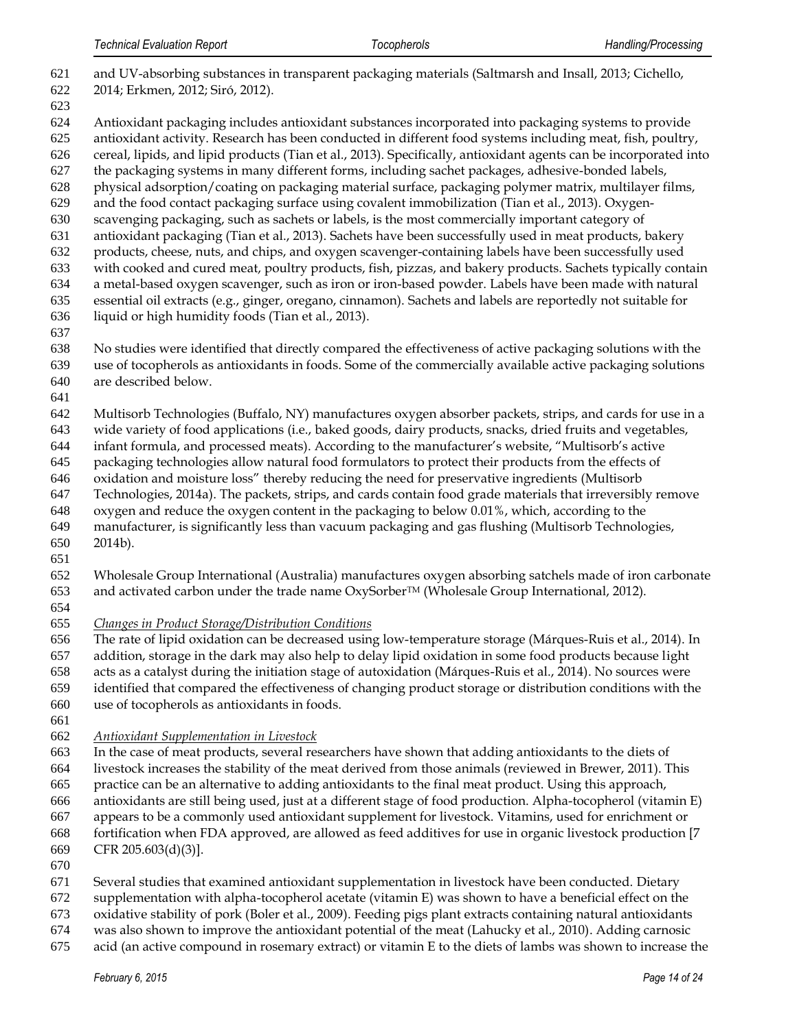- and UV-absorbing substances in transparent packaging materials (Saltmarsh and Insall, 2013; Cichello, 2014; Erkmen, 2012; Siró, 2012). Antioxidant packaging includes antioxidant substances incorporated into packaging systems to provide antioxidant activity. Research has been conducted in different food systems including meat, fish, poultry, cereal, lipids, and lipid products (Tian et al., 2013). Specifically, antioxidant agents can be incorporated into the packaging systems in many different forms, including sachet packages, adhesive-bonded labels, physical adsorption/coating on packaging material surface, packaging polymer matrix, multilayer films, and the food contact packaging surface using covalent immobilization (Tian et al., 2013). Oxygen- scavenging packaging, such as sachets or labels, is the most commercially important category of antioxidant packaging (Tian et al., 2013). Sachets have been successfully used in meat products, bakery products, cheese, nuts, and chips, and oxygen scavenger-containing labels have been successfully used with cooked and cured meat, poultry products, fish, pizzas, and bakery products. Sachets typically contain a metal-based oxygen scavenger, such as iron or iron-based powder. Labels have been made with natural essential oil extracts (e.g., ginger, oregano, cinnamon). Sachets and labels are reportedly not suitable for liquid or high humidity foods (Tian et al., 2013).
- 

Multisorb Technologies (Buffalo, NY) manufactures oxygen absorber packets, strips, and cards for use in a

wide variety of food applications (i.e., baked goods, dairy products, snacks, dried fruits and vegetables,

 infant formula, and processed meats). According to the manufacturer's website, "Multisorb's active packaging technologies allow natural food formulators to protect their products from the effects of

 oxidation and moisture loss" thereby reducing the need for preservative ingredients (Multisorb Technologies, 2014a). The packets, strips, and cards contain food grade materials that irreversibly remove

oxygen and reduce the oxygen content in the packaging to below 0.01%, which, according to the

manufacturer, is significantly less than vacuum packaging and gas flushing (Multisorb Technologies,

- 2014b).
- 

 Wholesale Group International (Australia) manufactures oxygen absorbing satchels made of iron carbonate 653 and activated carbon under the trade name OxySorber<sup>TM</sup> (Wholesale Group International, 2012).

*Changes in Product Storage/Distribution Conditions*

The rate of lipid oxidation can be decreased using low-temperature storage (Márques-Ruis et al., 2014). In

addition, storage in the dark may also help to delay lipid oxidation in some food products because light

acts as a catalyst during the initiation stage of autoxidation (Márques-Ruis et al., 2014). No sources were

identified that compared the effectiveness of changing product storage or distribution conditions with the

use of tocopherols as antioxidants in foods.

*Antioxidant Supplementation in Livestock*

In the case of meat products, several researchers have shown that adding antioxidants to the diets of

livestock increases the stability of the meat derived from those animals (reviewed in Brewer, 2011). This

practice can be an alternative to adding antioxidants to the final meat product. Using this approach,

antioxidants are still being used, just at a different stage of food production. Alpha-tocopherol (vitamin E)

 appears to be a commonly used antioxidant supplement for livestock. Vitamins, used for enrichment or fortification when FDA approved, are allowed as feed additives for use in organic livestock production [7

- CFR 205.603(d)(3)].
- 

Several studies that examined antioxidant supplementation in livestock have been conducted. Dietary

supplementation with alpha-tocopherol acetate (vitamin E) was shown to have a beneficial effect on the

oxidative stability of pork (Boler et al., 2009). Feeding pigs plant extracts containing natural antioxidants

- was also shown to improve the antioxidant potential of the meat (Lahucky et al., 2010). Adding carnosic
- acid (an active compound in rosemary extract) or vitamin E to the diets of lambs was shown to increase the

 No studies were identified that directly compared the effectiveness of active packaging solutions with the use of tocopherols as antioxidants in foods. Some of the commercially available active packaging solutions are described below.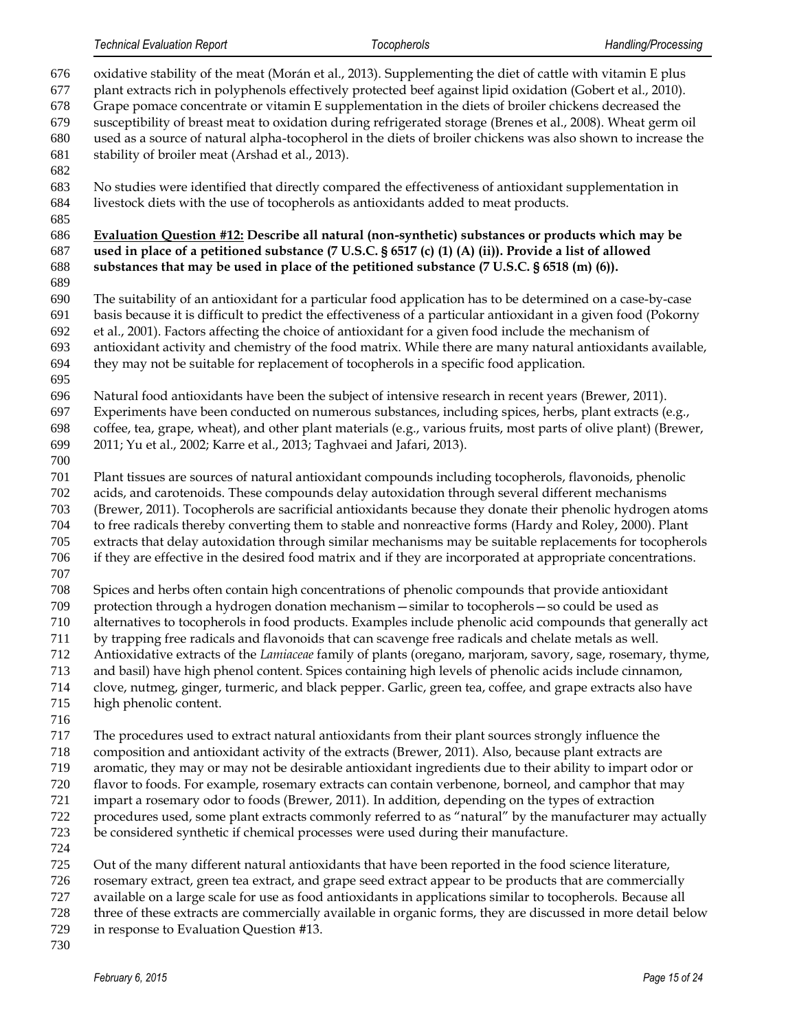oxidative stability of the meat (Morán et al., 2013). Supplementing the diet of cattle with vitamin E plus plant extracts rich in polyphenols effectively protected beef against lipid oxidation (Gobert et al., 2010). Grape pomace concentrate or vitamin E supplementation in the diets of broiler chickens decreased the susceptibility of breast meat to oxidation during refrigerated storage (Brenes et al., 2008). Wheat germ oil used as a source of natural alpha-tocopherol in the diets of broiler chickens was also shown to increase the stability of broiler meat (Arshad et al., 2013). No studies were identified that directly compared the effectiveness of antioxidant supplementation in livestock diets with the use of tocopherols as antioxidants added to meat products. **Evaluation Question #12: Describe all natural (non-synthetic) substances or products which may be used in place of a petitioned substance (7 U.S.C. § 6517 (c) (1) (A) (ii)). Provide a list of allowed substances that may be used in place of the petitioned substance (7 U.S.C. § 6518 (m) (6)).** The suitability of an antioxidant for a particular food application has to be determined on a case-by-case basis because it is difficult to predict the effectiveness of a particular antioxidant in a given food (Pokorny et al., 2001). Factors affecting the choice of antioxidant for a given food include the mechanism of antioxidant activity and chemistry of the food matrix. While there are many natural antioxidants available, they may not be suitable for replacement of tocopherols in a specific food application. Natural food antioxidants have been the subject of intensive research in recent years (Brewer, 2011). Experiments have been conducted on numerous substances, including spices, herbs, plant extracts (e.g., coffee, tea, grape, wheat), and other plant materials (e.g., various fruits, most parts of olive plant) (Brewer, 2011; Yu et al., 2002; Karre et al., 2013; Taghvaei and Jafari, 2013). Plant tissues are sources of natural antioxidant compounds including tocopherols, flavonoids, phenolic acids, and carotenoids. These compounds delay autoxidation through several different mechanisms (Brewer, 2011). Tocopherols are sacrificial antioxidants because they donate their phenolic hydrogen atoms to free radicals thereby converting them to stable and nonreactive forms (Hardy and Roley, 2000). Plant extracts that delay autoxidation through similar mechanisms may be suitable replacements for tocopherols if they are effective in the desired food matrix and if they are incorporated at appropriate concentrations. Spices and herbs often contain high concentrations of phenolic compounds that provide antioxidant protection through a hydrogen donation mechanism—similar to tocopherols—so could be used as alternatives to tocopherols in food products. Examples include phenolic acid compounds that generally act by trapping free radicals and flavonoids that can scavenge free radicals and chelate metals as well. Antioxidative extracts of the *Lamiaceae* family of plants (oregano, marjoram, savory, sage, rosemary, thyme, and basil) have high phenol content. Spices containing high levels of phenolic acids include cinnamon, clove, nutmeg, ginger, turmeric, and black pepper. Garlic, green tea, coffee, and grape extracts also have high phenolic content. The procedures used to extract natural antioxidants from their plant sources strongly influence the composition and antioxidant activity of the extracts (Brewer, 2011). Also, because plant extracts are aromatic, they may or may not be desirable antioxidant ingredients due to their ability to impart odor or flavor to foods. For example, rosemary extracts can contain verbenone, borneol, and camphor that may impart a rosemary odor to foods (Brewer, 2011). In addition, depending on the types of extraction procedures used, some plant extracts commonly referred to as "natural" by the manufacturer may actually be considered synthetic if chemical processes were used during their manufacture. Out of the many different natural antioxidants that have been reported in the food science literature, rosemary extract, green tea extract, and grape seed extract appear to be products that are commercially available on a large scale for use as food antioxidants in applications similar to tocopherols. Because all three of these extracts are commercially available in organic forms, they are discussed in more detail below in response to Evaluation Question #13.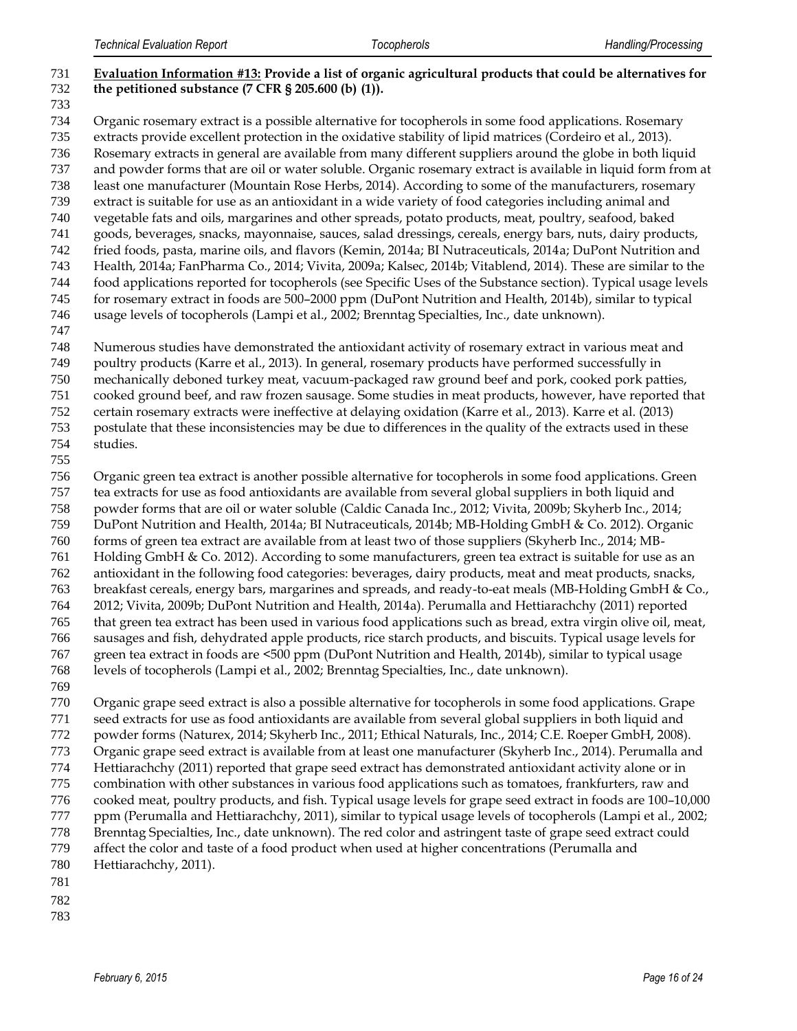- **Evaluation Information #13: Provide a list of organic agricultural products that could be alternatives for the petitioned substance (7 CFR § 205.600 (b) (1)).** Organic rosemary extract is a possible alternative for tocopherols in some food applications. Rosemary extracts provide excellent protection in the oxidative stability of lipid matrices (Cordeiro et al., 2013). Rosemary extracts in general are available from many different suppliers around the globe in both liquid and powder forms that are oil or water soluble. Organic rosemary extract is available in liquid form from at least one manufacturer (Mountain Rose Herbs, 2014). According to some of the manufacturers, rosemary extract is suitable for use as an antioxidant in a wide variety of food categories including animal and vegetable fats and oils, margarines and other spreads, potato products, meat, poultry, seafood, baked goods, beverages, snacks, mayonnaise, sauces, salad dressings, cereals, energy bars, nuts, dairy products, fried foods, pasta, marine oils, and flavors (Kemin, 2014a; BI Nutraceuticals, 2014a; DuPont Nutrition and Health, 2014a; FanPharma Co., 2014; Vivita, 2009a; Kalsec, 2014b; Vitablend, 2014). These are similar to the food applications reported for tocopherols (see Specific Uses of the Substance section). Typical usage levels for rosemary extract in foods are 500–2000 ppm (DuPont Nutrition and Health, 2014b), similar to typical usage levels of tocopherols (Lampi et al., 2002; Brenntag Specialties, Inc., date unknown). Numerous studies have demonstrated the antioxidant activity of rosemary extract in various meat and poultry products (Karre et al., 2013). In general, rosemary products have performed successfully in mechanically deboned turkey meat, vacuum-packaged raw ground beef and pork, cooked pork patties, cooked ground beef, and raw frozen sausage. Some studies in meat products, however, have reported that certain rosemary extracts were ineffective at delaying oxidation (Karre et al., 2013). Karre et al. (2013) postulate that these inconsistencies may be due to differences in the quality of the extracts used in these studies. Organic green tea extract is another possible alternative for tocopherols in some food applications. Green tea extracts for use as food antioxidants are available from several global suppliers in both liquid and powder forms that are oil or water soluble (Caldic Canada Inc., 2012; Vivita, 2009b; Skyherb Inc., 2014; DuPont Nutrition and Health, 2014a; BI Nutraceuticals, 2014b; MB-Holding GmbH & Co. 2012). Organic forms of green tea extract are available from at least two of those suppliers (Skyherb Inc., 2014; MB-
- Holding GmbH & Co. 2012). According to some manufacturers, green tea extract is suitable for use as an antioxidant in the following food categories: beverages, dairy products, meat and meat products, snacks,
- breakfast cereals, energy bars, margarines and spreads, and ready-to-eat meals (MB-Holding GmbH & Co., 2012; Vivita, 2009b; DuPont Nutrition and Health, 2014a). Perumalla and Hettiarachchy (2011) reported that green tea extract has been used in various food applications such as bread, extra virgin olive oil, meat, sausages and fish, dehydrated apple products, rice starch products, and biscuits. Typical usage levels for green tea extract in foods are <500 ppm (DuPont Nutrition and Health, 2014b), similar to typical usage levels of tocopherols (Lampi et al., 2002; Brenntag Specialties, Inc., date unknown).
- 

 Organic grape seed extract is also a possible alternative for tocopherols in some food applications. Grape seed extracts for use as food antioxidants are available from several global suppliers in both liquid and powder forms (Naturex, 2014; Skyherb Inc., 2011; Ethical Naturals, Inc., 2014; C.E. Roeper GmbH, 2008). Organic grape seed extract is available from at least one manufacturer (Skyherb Inc., 2014). Perumalla and Hettiarachchy (2011) reported that grape seed extract has demonstrated antioxidant activity alone or in combination with other substances in various food applications such as tomatoes, frankfurters, raw and cooked meat, poultry products, and fish. Typical usage levels for grape seed extract in foods are 100–10,000 777 ppm (Perumalla and Hettiarachchy, 2011), similar to typical usage levels of tocopherols (Lampi et al., 2002; Brenntag Specialties, Inc., date unknown). The red color and astringent taste of grape seed extract could affect the color and taste of a food product when used at higher concentrations (Perumalla and

- Hettiarachchy, 2011).
- 
- 
-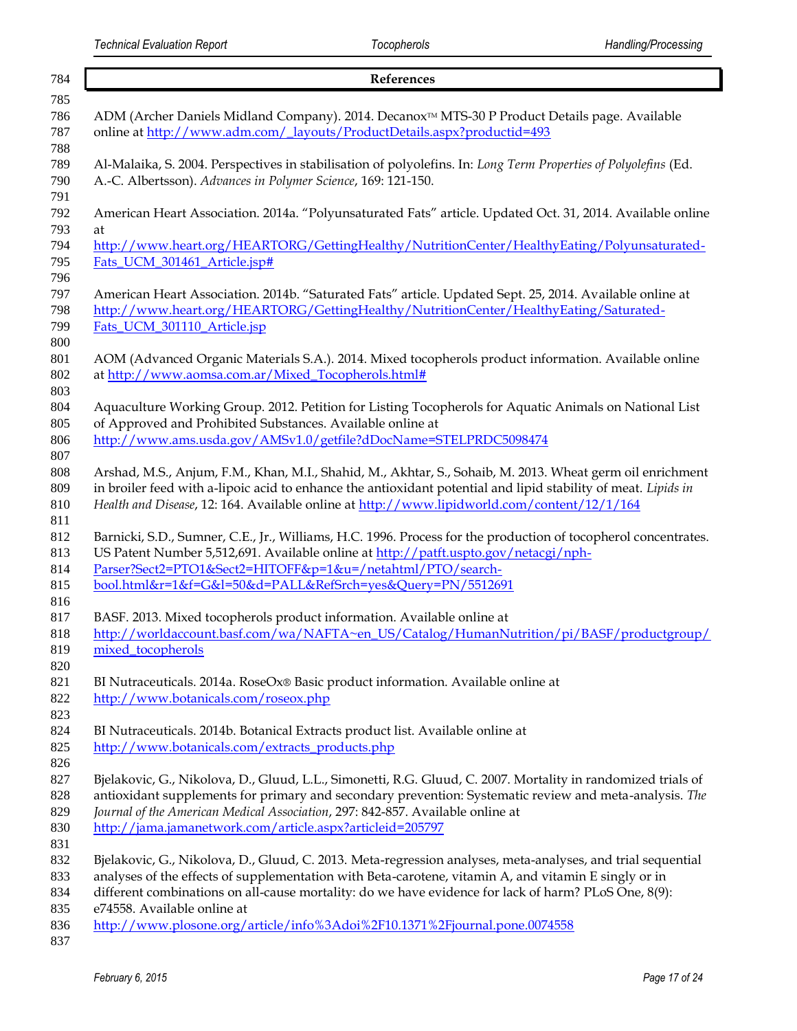| 784               | References                                                                                                                                                                                                   |
|-------------------|--------------------------------------------------------------------------------------------------------------------------------------------------------------------------------------------------------------|
| 785               |                                                                                                                                                                                                              |
| 786<br>787<br>788 | ADM (Archer Daniels Midland Company). 2014. Decanox™ MTS-30 P Product Details page. Available<br>online at http://www.adm.com/_layouts/ProductDetails.aspx?productid=493                                     |
| 789<br>790        | Al-Malaika, S. 2004. Perspectives in stabilisation of polyolefins. In: Long Term Properties of Polyolefins (Ed.<br>A.-C. Albertsson). Advances in Polymer Science, 169: 121-150.                             |
| 791<br>792        | American Heart Association. 2014a. "Polyunsaturated Fats" article. Updated Oct. 31, 2014. Available online                                                                                                   |
| 793               | at                                                                                                                                                                                                           |
| 794               | http://www.heart.org/HEARTORG/GettingHealthy/NutritionCenter/HealthyEating/Polyunsaturated-                                                                                                                  |
| 795               | Fats_UCM_301461_Article.jsp#                                                                                                                                                                                 |
| 796<br>797        | American Heart Association. 2014b. "Saturated Fats" article. Updated Sept. 25, 2014. Available online at                                                                                                     |
| 798               | http://www.heart.org/HEARTORG/GettingHealthy/NutritionCenter/HealthyEating/Saturated-                                                                                                                        |
| 799               | Fats_UCM_301110_Article.jsp                                                                                                                                                                                  |
| 800               |                                                                                                                                                                                                              |
| 801               | AOM (Advanced Organic Materials S.A.). 2014. Mixed tocopherols product information. Available online                                                                                                         |
| 802               | at http://www.aomsa.com.ar/Mixed_Tocopherols.html#                                                                                                                                                           |
| 803               |                                                                                                                                                                                                              |
| 804               | Aquaculture Working Group. 2012. Petition for Listing Tocopherols for Aquatic Animals on National List                                                                                                       |
| 805               | of Approved and Prohibited Substances. Available online at                                                                                                                                                   |
| 806               | http://www.ams.usda.gov/AMSv1.0/getfile?dDocName=STELPRDC5098474                                                                                                                                             |
| 807<br>808        | Arshad, M.S., Anjum, F.M., Khan, M.I., Shahid, M., Akhtar, S., Sohaib, M. 2013. Wheat germ oil enrichment                                                                                                    |
| 809               | in broiler feed with a-lipoic acid to enhance the antioxidant potential and lipid stability of meat. Lipids in                                                                                               |
| 810               | Health and Disease, 12: 164. Available online at http://www.lipidworld.com/content/12/1/164                                                                                                                  |
| 811               |                                                                                                                                                                                                              |
| 812               | Barnicki, S.D., Sumner, C.E., Jr., Williams, H.C. 1996. Process for the production of tocopherol concentrates.                                                                                               |
| 813               | US Patent Number 5,512,691. Available online at http://patft.uspto.gov/netacgi/nph-                                                                                                                          |
| 814               | Parser?Sect2=PTO1&Sect2=HITOFF&p=1&u=/netahtml/PTO/search-                                                                                                                                                   |
| 815               | bool.html&r=1&f=G&l=50&d=PALL&RefSrch=yes&Query=PN/5512691                                                                                                                                                   |
| 816               |                                                                                                                                                                                                              |
| 817               | BASF. 2013. Mixed tocopherols product information. Available online at                                                                                                                                       |
| 818               | http://worldaccount.basf.com/wa/NAFTA~en_US/Catalog/HumanNutrition/pi/BASF/productgroup/                                                                                                                     |
| 819               | mixed_tocopherols                                                                                                                                                                                            |
| 820<br>821        | BI Nutraceuticals. 2014a. RoseOx® Basic product information. Available online at                                                                                                                             |
| 822               | http://www.botanicals.com/roseox.php                                                                                                                                                                         |
| 823               |                                                                                                                                                                                                              |
| 824               | BI Nutraceuticals. 2014b. Botanical Extracts product list. Available online at                                                                                                                               |
| 825               | http://www.botanicals.com/extracts_products.php                                                                                                                                                              |
| 826               |                                                                                                                                                                                                              |
| 827               | Bjelakovic, G., Nikolova, D., Gluud, L.L., Simonetti, R.G. Gluud, C. 2007. Mortality in randomized trials of                                                                                                 |
| 828               | antioxidant supplements for primary and secondary prevention: Systematic review and meta-analysis. The                                                                                                       |
| 829               | Journal of the American Medical Association, 297: 842-857. Available online at                                                                                                                               |
| 830               | http://jama.jamanetwork.com/article.aspx?articleid=205797                                                                                                                                                    |
| 831               |                                                                                                                                                                                                              |
| 832               | Bjelakovic, G., Nikolova, D., Gluud, C. 2013. Meta-regression analyses, meta-analyses, and trial sequential                                                                                                  |
| 833<br>834        | analyses of the effects of supplementation with Beta-carotene, vitamin A, and vitamin E singly or in<br>different combinations on all-cause mortality: do we have evidence for lack of harm? PLoS One, 8(9): |
| 835               | e74558. Available online at                                                                                                                                                                                  |
| 836               | http://www.plosone.org/article/info%3Adoi%2F10.1371%2Fjournal.pone.0074558                                                                                                                                   |
| 837               |                                                                                                                                                                                                              |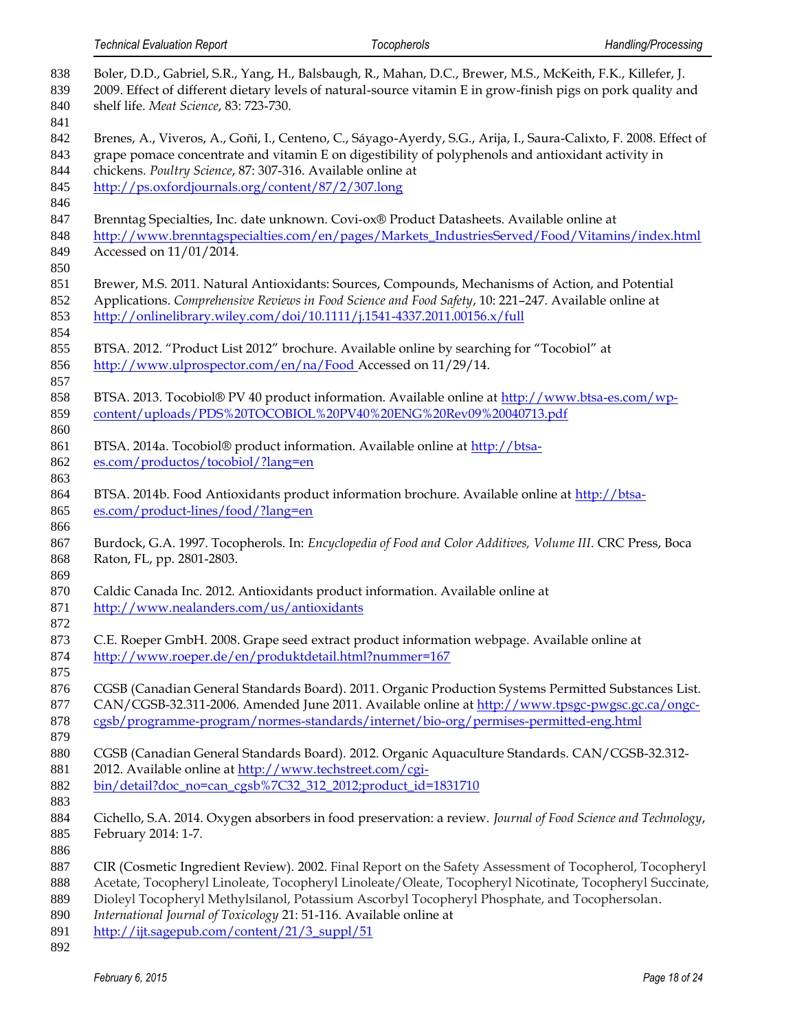| 838<br>839<br>840        | Boler, D.D., Gabriel, S.R., Yang, H., Balsbaugh, R., Mahan, D.C., Brewer, M.S., McKeith, F.K., Killefer, J.<br>2009. Effect of different dietary levels of natural-source vitamin E in grow-finish pigs on pork quality and<br>shelf life. Meat Science, 83: 723-730.                  |
|--------------------------|----------------------------------------------------------------------------------------------------------------------------------------------------------------------------------------------------------------------------------------------------------------------------------------|
| 841<br>842<br>843<br>844 | Brenes, A., Viveros, A., Goñi, I., Centeno, C., Sáyago-Ayerdy, S.G., Arija, I., Saura-Calixto, F. 2008. Effect of<br>grape pomace concentrate and vitamin E on digestibility of polyphenols and antioxidant activity in<br>chickens. Poultry Science, 87: 307-316. Available online at |
| 845<br>846               | http://ps.oxfordjournals.org/content/87/2/307.long                                                                                                                                                                                                                                     |
| 847                      | Brenntag Specialties, Inc. date unknown. Covi-ox® Product Datasheets. Available online at                                                                                                                                                                                              |
| 848                      | http://www.brenntagspecialties.com/en/pages/Markets_IndustriesServed/Food/Vitamins/index.html                                                                                                                                                                                          |
| 849<br>850               | Accessed on 11/01/2014.                                                                                                                                                                                                                                                                |
| 851                      | Brewer, M.S. 2011. Natural Antioxidants: Sources, Compounds, Mechanisms of Action, and Potential                                                                                                                                                                                       |
| 852<br>853               | Applications. Comprehensive Reviews in Food Science and Food Safety, 10: 221-247. Available online at<br>http://onlinelibrary.wiley.com/doi/10.1111/j.1541-4337.2011.00156.x/full                                                                                                      |
| 854<br>855               | BTSA. 2012. "Product List 2012" brochure. Available online by searching for "Tocobiol" at                                                                                                                                                                                              |
| 856                      | http://www.ulprospector.com/en/na/Food Accessed on 11/29/14.                                                                                                                                                                                                                           |
| 857                      |                                                                                                                                                                                                                                                                                        |
| 858                      | BTSA. 2013. Tocobiol® PV 40 product information. Available online at http://www.btsa-es.com/wp-                                                                                                                                                                                        |
| 859<br>860               | content/uploads/PDS%20TOCOBIOL%20PV40%20ENG%20Rev09%20040713.pdf                                                                                                                                                                                                                       |
| 861                      | BTSA. 2014a. Tocobiol® product information. Available online at http://btsa-                                                                                                                                                                                                           |
| 862                      | es.com/productos/tocobiol/?lang=en                                                                                                                                                                                                                                                     |
| 863                      |                                                                                                                                                                                                                                                                                        |
| 864                      | BTSA. 2014b. Food Antioxidants product information brochure. Available online at http://btsa-                                                                                                                                                                                          |
| 865<br>866               | es.com/product-lines/food/?lang=en                                                                                                                                                                                                                                                     |
| 867                      | Burdock, G.A. 1997. Tocopherols. In: Encyclopedia of Food and Color Additives, Volume III. CRC Press, Boca                                                                                                                                                                             |
| 868<br>869               | Raton, FL, pp. 2801-2803.                                                                                                                                                                                                                                                              |
| 870                      | Caldic Canada Inc. 2012. Antioxidants product information. Available online at                                                                                                                                                                                                         |
| 871                      | http://www.nealanders.com/us/antioxidants                                                                                                                                                                                                                                              |
| 872<br>873               | C.E. Roeper GmbH. 2008. Grape seed extract product information webpage. Available online at                                                                                                                                                                                            |
| 874                      | http://www.roeper.de/en/produktdetail.html?nummer=167                                                                                                                                                                                                                                  |
| 875                      |                                                                                                                                                                                                                                                                                        |
| 876                      | CGSB (Canadian General Standards Board). 2011. Organic Production Systems Permitted Substances List.                                                                                                                                                                                   |
| 877                      | CAN/CGSB-32.311-2006. Amended June 2011. Available online at http://www.tpsgc-pwgsc.gc.ca/ongc-                                                                                                                                                                                        |
| 878<br>879               | cgsb/programme-program/normes-standards/internet/bio-org/permises-permitted-eng.html                                                                                                                                                                                                   |
| 880                      | CGSB (Canadian General Standards Board). 2012. Organic Aquaculture Standards. CAN/CGSB-32.312-                                                                                                                                                                                         |
| 881                      | 2012. Available online at http://www.techstreet.com/cgi-                                                                                                                                                                                                                               |
| 882                      | bin/detail?doc_no=can_cgsb%7C32_312_2012;product_id=1831710                                                                                                                                                                                                                            |
| 883                      |                                                                                                                                                                                                                                                                                        |
| 884                      | Cichello, S.A. 2014. Oxygen absorbers in food preservation: a review. Journal of Food Science and Technology,                                                                                                                                                                          |
| 885<br>886               | February 2014: 1-7.                                                                                                                                                                                                                                                                    |
| 887                      | CIR (Cosmetic Ingredient Review). 2002. Final Report on the Safety Assessment of Tocopherol, Tocopheryl                                                                                                                                                                                |
| 888                      | Acetate, Tocopheryl Linoleate, Tocopheryl Linoleate/Oleate, Tocopheryl Nicotinate, Tocopheryl Succinate,                                                                                                                                                                               |
| 889                      | Dioleyl Tocopheryl Methylsilanol, Potassium Ascorbyl Tocopheryl Phosphate, and Tocophersolan.                                                                                                                                                                                          |
| 890                      | International Journal of Toxicology 21: 51-116. Available online at                                                                                                                                                                                                                    |
| 891                      | http://ijt.sagepub.com/content/21/3_suppl/51                                                                                                                                                                                                                                           |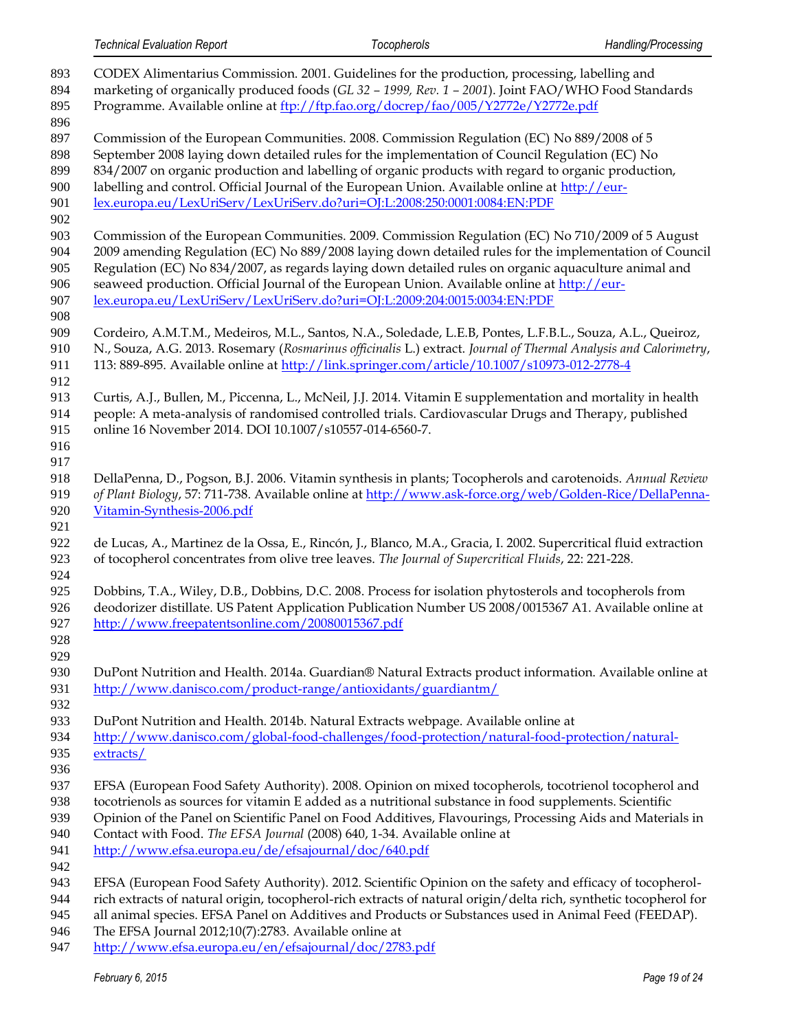| 893<br>894<br>895<br>896               | CODEX Alimentarius Commission. 2001. Guidelines for the production, processing, labelling and<br>marketing of organically produced foods (GL 32 - 1999, Rev. 1 - 2001). Joint FAO/WHO Food Standards<br>Programme. Available online at ftp://ftp.fao.org/docrep/fao/005/Y2772e/Y2772e.pdf                                                                                                                                                                                                      |
|----------------------------------------|------------------------------------------------------------------------------------------------------------------------------------------------------------------------------------------------------------------------------------------------------------------------------------------------------------------------------------------------------------------------------------------------------------------------------------------------------------------------------------------------|
| 897<br>898<br>899<br>900<br>901<br>902 | Commission of the European Communities. 2008. Commission Regulation (EC) No 889/2008 of 5<br>September 2008 laying down detailed rules for the implementation of Council Regulation (EC) No<br>834/2007 on organic production and labelling of organic products with regard to organic production,<br>labelling and control. Official Journal of the European Union. Available online at http://eur-<br>lex.europa.eu/LexUriServ/LexUriServ.do?uri=OJ:L:2008:250:0001:0084:EN:PDF              |
| 903<br>904<br>905<br>906<br>907<br>908 | Commission of the European Communities. 2009. Commission Regulation (EC) No 710/2009 of 5 August<br>2009 amending Regulation (EC) No 889/2008 laying down detailed rules for the implementation of Council<br>Regulation (EC) No 834/2007, as regards laying down detailed rules on organic aquaculture animal and<br>seaweed production. Official Journal of the European Union. Available online at http://eur-<br>lex.europa.eu/LexUriServ/LexUriServ.do?uri=OJ:L:2009:204:0015:0034:EN:PDF |
| 909<br>910<br>911                      | Cordeiro, A.M.T.M., Medeiros, M.L., Santos, N.A., Soledade, L.E.B, Pontes, L.F.B.L., Souza, A.L., Queiroz,<br>N., Souza, A.G. 2013. Rosemary (Rosmarinus officinalis L.) extract. Journal of Thermal Analysis and Calorimetry,<br>113: 889-895. Available online at http://link.springer.com/article/10.1007/s10973-012-2778-4                                                                                                                                                                 |
| 912<br>913<br>914<br>915<br>916<br>917 | Curtis, A.J., Bullen, M., Piccenna, L., McNeil, J.J. 2014. Vitamin E supplementation and mortality in health<br>people: A meta-analysis of randomised controlled trials. Cardiovascular Drugs and Therapy, published<br>online 16 November 2014. DOI 10.1007/s10557-014-6560-7.                                                                                                                                                                                                                |
| 918<br>919<br>920<br>921               | DellaPenna, D., Pogson, B.J. 2006. Vitamin synthesis in plants; Tocopherols and carotenoids. Annual Review<br>of Plant Biology, 57: 711-738. Available online at http://www.ask-force.org/web/Golden-Rice/DellaPenna-<br>Vitamin-Synthesis-2006.pdf                                                                                                                                                                                                                                            |
| 922<br>923<br>924                      | de Lucas, A., Martinez de la Ossa, E., Rincón, J., Blanco, M.A., Gracia, I. 2002. Supercritical fluid extraction<br>of tocopherol concentrates from olive tree leaves. The Journal of Supercritical Fluids, 22: 221-228.                                                                                                                                                                                                                                                                       |
| 925<br>926<br>927<br>928               | Dobbins, T.A., Wiley, D.B., Dobbins, D.C. 2008. Process for isolation phytosterols and tocopherols from<br>deodorizer distillate. US Patent Application Publication Number US 2008/0015367 A1. Available online at<br>http://www.freepatentsonline.com/20080015367.pdf                                                                                                                                                                                                                         |
| 929<br>930<br>931                      | DuPont Nutrition and Health. 2014a. Guardian® Natural Extracts product information. Available online at<br>http://www.danisco.com/product-range/antioxidants/guardiantm/                                                                                                                                                                                                                                                                                                                       |
| 932<br>933<br>934<br>935<br>936        | DuPont Nutrition and Health. 2014b. Natural Extracts webpage. Available online at<br>http://www.danisco.com/global-food-challenges/food-protection/natural-food-protection/natural-<br>extracts/                                                                                                                                                                                                                                                                                               |
| 937<br>938<br>939<br>940<br>941<br>942 | EFSA (European Food Safety Authority). 2008. Opinion on mixed tocopherols, tocotrienol tocopherol and<br>tocotrienols as sources for vitamin E added as a nutritional substance in food supplements. Scientific<br>Opinion of the Panel on Scientific Panel on Food Additives, Flavourings, Processing Aids and Materials in<br>Contact with Food. The EFSA Journal (2008) 640, 1-34. Available online at<br>http://www.efsa.europa.eu/de/efsajournal/doc/640.pdf                              |
| 943<br>944<br>945<br>946               | EFSA (European Food Safety Authority). 2012. Scientific Opinion on the safety and efficacy of tocopherol-<br>rich extracts of natural origin, tocopherol-rich extracts of natural origin/delta rich, synthetic tocopherol for<br>all animal species. EFSA Panel on Additives and Products or Substances used in Animal Feed (FEEDAP).<br>The EFSA Journal 2012;10(7):2783. Available online at                                                                                                 |

<http://www.efsa.europa.eu/en/efsajournal/doc/2783.pdf>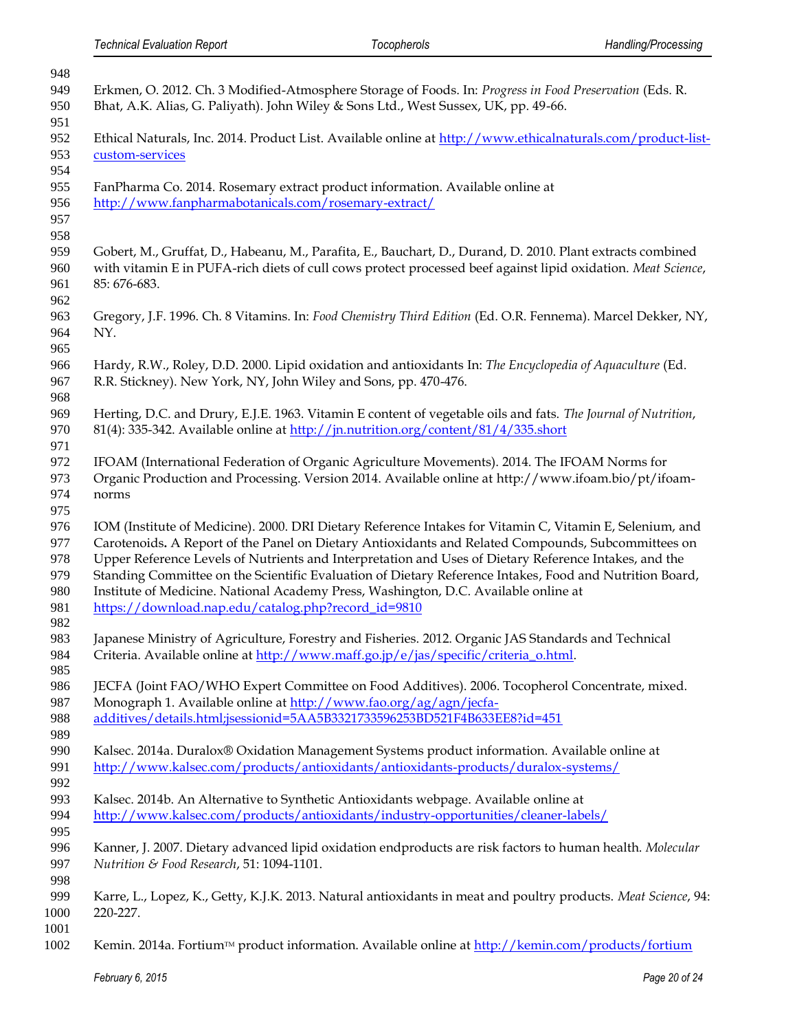| 948  |                                                                                                                                             |
|------|---------------------------------------------------------------------------------------------------------------------------------------------|
| 949  | Erkmen, O. 2012. Ch. 3 Modified-Atmosphere Storage of Foods. In: Progress in Food Preservation (Eds. R.                                     |
| 950  | Bhat, A.K. Alias, G. Paliyath). John Wiley & Sons Ltd., West Sussex, UK, pp. 49-66.                                                         |
| 951  |                                                                                                                                             |
| 952  | Ethical Naturals, Inc. 2014. Product List. Available online at http://www.ethicalnaturals.com/product-list-                                 |
| 953  | custom-services                                                                                                                             |
| 954  |                                                                                                                                             |
| 955  | FanPharma Co. 2014. Rosemary extract product information. Available online at                                                               |
| 956  | http://www.fanpharmabotanicals.com/rosemary-extract/                                                                                        |
|      |                                                                                                                                             |
| 957  |                                                                                                                                             |
| 958  |                                                                                                                                             |
| 959  | Gobert, M., Gruffat, D., Habeanu, M., Parafita, E., Bauchart, D., Durand, D. 2010. Plant extracts combined                                  |
| 960  | with vitamin E in PUFA-rich diets of cull cows protect processed beef against lipid oxidation. Meat Science,                                |
| 961  | 85: 676-683.                                                                                                                                |
| 962  |                                                                                                                                             |
| 963  | Gregory, J.F. 1996. Ch. 8 Vitamins. In: Food Chemistry Third Edition (Ed. O.R. Fennema). Marcel Dekker, NY,                                 |
| 964  | NY.                                                                                                                                         |
| 965  |                                                                                                                                             |
| 966  | Hardy, R.W., Roley, D.D. 2000. Lipid oxidation and antioxidants In: The Encyclopedia of Aquaculture (Ed.                                    |
| 967  | R.R. Stickney). New York, NY, John Wiley and Sons, pp. 470-476.                                                                             |
| 968  |                                                                                                                                             |
| 969  | Herting, D.C. and Drury, E.J.E. 1963. Vitamin E content of vegetable oils and fats. The Journal of Nutrition,                               |
| 970  | 81(4): 335-342. Available online at $\frac{http://jn.nutrition.org/content/81/4/335.showt}{http://in.nutrition.org/content/81/4/335.showt}$ |
| 971  |                                                                                                                                             |
| 972  | IFOAM (International Federation of Organic Agriculture Movements). 2014. The IFOAM Norms for                                                |
| 973  |                                                                                                                                             |
|      | Organic Production and Processing. Version 2014. Available online at http://www.ifoam.bio/pt/ifoam-                                         |
| 974  | norms                                                                                                                                       |
| 975  |                                                                                                                                             |
| 976  | IOM (Institute of Medicine). 2000. DRI Dietary Reference Intakes for Vitamin C, Vitamin E, Selenium, and                                    |
| 977  | Carotenoids. A Report of the Panel on Dietary Antioxidants and Related Compounds, Subcommittees on                                          |
| 978  | Upper Reference Levels of Nutrients and Interpretation and Uses of Dietary Reference Intakes, and the                                       |
| 979  | Standing Committee on the Scientific Evaluation of Dietary Reference Intakes, Food and Nutrition Board,                                     |
| 980  | Institute of Medicine. National Academy Press, Washington, D.C. Available online at                                                         |
| 981  | https://download.nap.edu/catalog.php?record_id=9810                                                                                         |
| 982  |                                                                                                                                             |
| 983  | Japanese Ministry of Agriculture, Forestry and Fisheries. 2012. Organic JAS Standards and Technical                                         |
| 984  | Criteria. Available online at http://www.maff.go.jp/e/jas/specific/criteria_o.html.                                                         |
| 985  |                                                                                                                                             |
| 986  | JECFA (Joint FAO/WHO Expert Committee on Food Additives). 2006. Tocopherol Concentrate, mixed.                                              |
| 987  | Monograph 1. Available online at http://www.fao.org/ag/agn/jecfa-                                                                           |
| 988  | additives/details.html;jsessionid=5AA5B3321733596253BD521F4B633EE8?id=451                                                                   |
| 989  |                                                                                                                                             |
| 990  | Kalsec. 2014a. Duralox® Oxidation Management Systems product information. Available online at                                               |
| 991  | http://www.kalsec.com/products/antioxidants/antioxidants-products/duralox-systems/                                                          |
| 992  |                                                                                                                                             |
| 993  | Kalsec. 2014b. An Alternative to Synthetic Antioxidants webpage. Available online at                                                        |
| 994  | http://www.kalsec.com/products/antioxidants/industry-opportunities/cleaner-labels/                                                          |
| 995  |                                                                                                                                             |
|      |                                                                                                                                             |
| 996  | Kanner, J. 2007. Dietary advanced lipid oxidation endproducts are risk factors to human health. Molecular                                   |
| 997  | Nutrition & Food Research, 51: 1094-1101.                                                                                                   |
| 998  |                                                                                                                                             |
| 999  | Karre, L., Lopez, K., Getty, K.J.K. 2013. Natural antioxidants in meat and poultry products. Meat Science, 94:                              |
| 1000 | 220-227.                                                                                                                                    |
| 1001 |                                                                                                                                             |
| 1002 | Kemin. 2014a. Fortium™ product information. Available online at http://kemin.com/products/fortium                                           |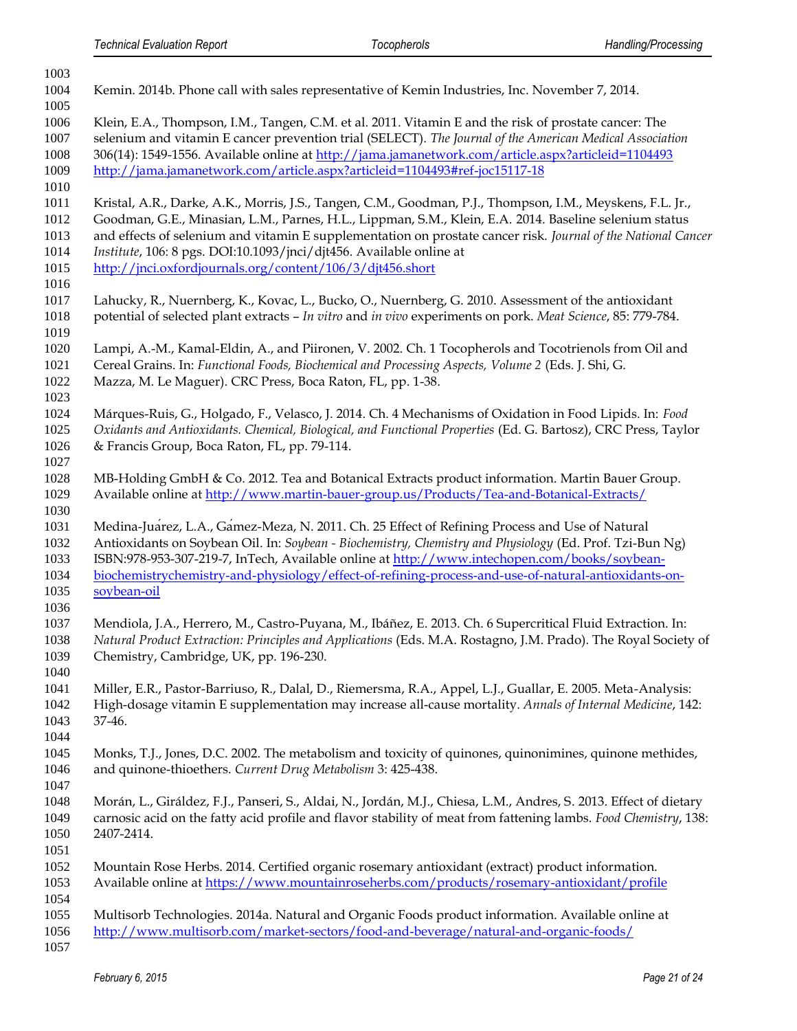| 1003                                         |                                                                                                                                                                                                                                                                                                                                                                                                                                                                           |
|----------------------------------------------|---------------------------------------------------------------------------------------------------------------------------------------------------------------------------------------------------------------------------------------------------------------------------------------------------------------------------------------------------------------------------------------------------------------------------------------------------------------------------|
| 1004                                         | Kemin. 2014b. Phone call with sales representative of Kemin Industries, Inc. November 7, 2014.                                                                                                                                                                                                                                                                                                                                                                            |
| 1005<br>1006<br>1007<br>1008                 | Klein, E.A., Thompson, I.M., Tangen, C.M. et al. 2011. Vitamin E and the risk of prostate cancer: The<br>selenium and vitamin E cancer prevention trial (SELECT). The Journal of the American Medical Association<br>306(14): 1549-1556. Available online at http://jama.jamanetwork.com/article.aspx?articleid=1104493                                                                                                                                                   |
| 1009<br>1010                                 | http://jama.jamanetwork.com/article.aspx?articleid=1104493#ref-joc15117-18                                                                                                                                                                                                                                                                                                                                                                                                |
| 1011<br>1012<br>1013<br>1014<br>1015<br>1016 | Kristal, A.R., Darke, A.K., Morris, J.S., Tangen, C.M., Goodman, P.J., Thompson, I.M., Meyskens, F.L. Jr.,<br>Goodman, G.E., Minasian, L.M., Parnes, H.L., Lippman, S.M., Klein, E.A. 2014. Baseline selenium status<br>and effects of selenium and vitamin E supplementation on prostate cancer risk. Journal of the National Cancer<br>Institute, 106: 8 pgs. DOI:10.1093/jnci/djt456. Available online at<br>http://jnci.oxfordjournals.org/content/106/3/djt456.short |
| 1017<br>1018<br>1019                         | Lahucky, R., Nuernberg, K., Kovac, L., Bucko, O., Nuernberg, G. 2010. Assessment of the antioxidant<br>potential of selected plant extracts - In vitro and in vivo experiments on pork. Meat Science, 85: 779-784.                                                                                                                                                                                                                                                        |
| 1020<br>1021<br>1022<br>1023                 | Lampi, A.-M., Kamal-Eldin, A., and Piironen, V. 2002. Ch. 1 Tocopherols and Tocotrienols from Oil and<br>Cereal Grains. In: Functional Foods, Biochemical and Processing Aspects, Volume 2 (Eds. J. Shi, G.<br>Mazza, M. Le Maguer). CRC Press, Boca Raton, FL, pp. 1-38.                                                                                                                                                                                                 |
| 1024<br>1025<br>1026<br>1027                 | Márques-Ruis, G., Holgado, F., Velasco, J. 2014. Ch. 4 Mechanisms of Oxidation in Food Lipids. In: Food<br>Oxidants and Antioxidants. Chemical, Biological, and Functional Properties (Ed. G. Bartosz), CRC Press, Taylor<br>& Francis Group, Boca Raton, FL, pp. 79-114.                                                                                                                                                                                                 |
| 1028<br>1029<br>1030                         | MB-Holding GmbH & Co. 2012. Tea and Botanical Extracts product information. Martin Bauer Group.<br>Available online at http://www.martin-bauer-group.us/Products/Tea-and-Botanical-Extracts/                                                                                                                                                                                                                                                                              |
| 1031<br>1032<br>1033<br>1034<br>1035<br>1036 | Medina-Juarez, L.A., Gamez-Meza, N. 2011. Ch. 25 Effect of Refining Process and Use of Natural<br>Antioxidants on Soybean Oil. In: Soybean - Biochemistry, Chemistry and Physiology (Ed. Prof. Tzi-Bun Ng)<br>ISBN:978-953-307-219-7, InTech, Available online at http://www.intechopen.com/books/soybean-<br>biochemistrychemistry-and-physiology/effect-of-refining-process-and-use-of-natural-antioxidants-on-<br>soybean-oil                                          |
| 1037<br>1038<br>1039<br>1040                 | Mendiola, J.A., Herrero, M., Castro-Puyana, M., Ibáñez, E. 2013. Ch. 6 Supercritical Fluid Extraction. In:<br>Natural Product Extraction: Principles and Applications (Eds. M.A. Rostagno, J.M. Prado). The Royal Society of<br>Chemistry, Cambridge, UK, pp. 196-230.                                                                                                                                                                                                    |
| 1041<br>1042<br>1043<br>1044                 | Miller, E.R., Pastor-Barriuso, R., Dalal, D., Riemersma, R.A., Appel, L.J., Guallar, E. 2005. Meta-Analysis:<br>High-dosage vitamin E supplementation may increase all-cause mortality. Annals of Internal Medicine, 142:<br>37-46.                                                                                                                                                                                                                                       |
| 1045<br>1046<br>1047                         | Monks, T.J., Jones, D.C. 2002. The metabolism and toxicity of quinones, quinonimines, quinone methides,<br>and quinone-thioethers. Current Drug Metabolism 3: 425-438.                                                                                                                                                                                                                                                                                                    |
| 1048<br>1049<br>1050<br>1051                 | Morán, L., Giráldez, F.J., Panseri, S., Aldai, N., Jordán, M.J., Chiesa, L.M., Andres, S. 2013. Effect of dietary<br>carnosic acid on the fatty acid profile and flavor stability of meat from fattening lambs. Food Chemistry, 138:<br>2407-2414.                                                                                                                                                                                                                        |
| 1052<br>1053<br>1054                         | Mountain Rose Herbs. 2014. Certified organic rosemary antioxidant (extract) product information.<br>Available online at https://www.mountainroseherbs.com/products/rosemary-antioxidant/profile                                                                                                                                                                                                                                                                           |
| 1055<br>1056<br>1057                         | Multisorb Technologies. 2014a. Natural and Organic Foods product information. Available online at<br>http://www.multisorb.com/market-sectors/food-and-beverage/natural-and-organic-foods/                                                                                                                                                                                                                                                                                 |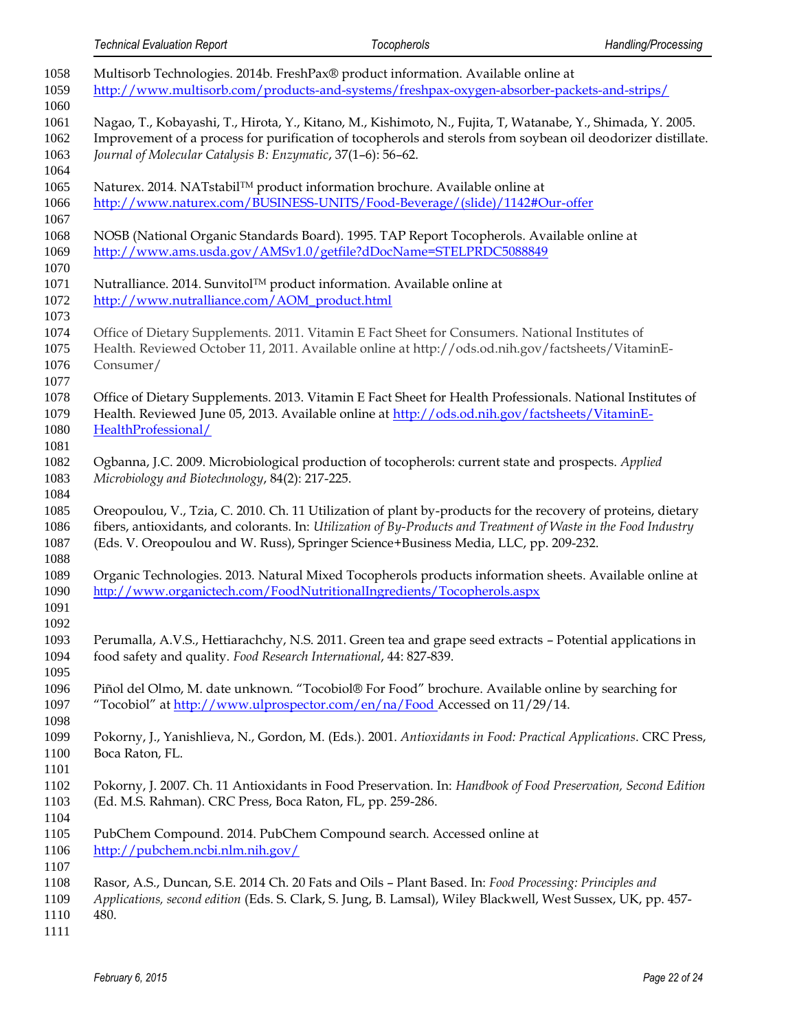| 1058<br>1059                 | Multisorb Technologies. 2014b. FreshPax® product information. Available online at<br>http://www.multisorb.com/products-and-systems/freshpax-oxygen-absorber-packets-and-strips/                                                                                                                                         |
|------------------------------|-------------------------------------------------------------------------------------------------------------------------------------------------------------------------------------------------------------------------------------------------------------------------------------------------------------------------|
| 1060<br>1061<br>1062<br>1063 | Nagao, T., Kobayashi, T., Hirota, Y., Kitano, M., Kishimoto, N., Fujita, T. Watanabe, Y., Shimada, Y. 2005.<br>Improvement of a process for purification of tocopherols and sterols from soybean oil deodorizer distillate.<br>Journal of Molecular Catalysis B: Enzymatic, 37(1-6): 56-62.                             |
| 1064<br>1065<br>1066<br>1067 | Naturex. 2014. NATstabil™ product information brochure. Available online at<br>http://www.naturex.com/BUSINESS-UNITS/Food-Beverage/(slide)/1142#Our-offer                                                                                                                                                               |
| 1068<br>1069<br>1070         | NOSB (National Organic Standards Board). 1995. TAP Report Tocopherols. Available online at<br>http://www.ams.usda.gov/AMSv1.0/getfile?dDocName=STELPRDC5088849                                                                                                                                                          |
| 1071<br>1072<br>1073         | Nutralliance. 2014. Sunvitol™ product information. Available online at<br>http://www.nutralliance.com/AOM_product.html                                                                                                                                                                                                  |
| 1074<br>1075<br>1076         | Office of Dietary Supplements. 2011. Vitamin E Fact Sheet for Consumers. National Institutes of<br>Health. Reviewed October 11, 2011. Available online at http://ods.od.nih.gov/factsheets/VitaminE-<br>Consumer/                                                                                                       |
| 1077<br>1078<br>1079<br>1080 | Office of Dietary Supplements. 2013. Vitamin E Fact Sheet for Health Professionals. National Institutes of<br>Health. Reviewed June 05, 2013. Available online at http://ods.od.nih.gov/factsheets/VitaminE-<br>HealthProfessional/                                                                                     |
| 1081<br>1082<br>1083<br>1084 | Ogbanna, J.C. 2009. Microbiological production of tocopherols: current state and prospects. Applied<br>Microbiology and Biotechnology, 84(2): 217-225.                                                                                                                                                                  |
| 1085<br>1086<br>1087         | Oreopoulou, V., Tzia, C. 2010. Ch. 11 Utilization of plant by-products for the recovery of proteins, dietary<br>fibers, antioxidants, and colorants. In: Utilization of By-Products and Treatment of Waste in the Food Industry<br>(Eds. V. Oreopoulou and W. Russ), Springer Science+Business Media, LLC, pp. 209-232. |
| 1088<br>1089<br>1090<br>1091 | Organic Technologies. 2013. Natural Mixed Tocopherols products information sheets. Available online at<br>http://www.organictech.com/FoodNutritionalIngredients/Tocopherols.aspx                                                                                                                                        |
| 1092<br>1093<br>1094<br>1095 | Perumalla, A.V.S., Hettiarachchy, N.S. 2011. Green tea and grape seed extracts - Potential applications in<br>food safety and quality. Food Research International, 44: 827-839.                                                                                                                                        |
| 1096<br>1097<br>1098         | Piñol del Olmo, M. date unknown. "Tocobiol® For Food" brochure. Available online by searching for<br>"Tocobiol" at http://www.ulprospector.com/en/na/Food Accessed on 11/29/14.                                                                                                                                         |
| 1099<br>1100<br>1101         | Pokorny, J., Yanishlieva, N., Gordon, M. (Eds.). 2001. Antioxidants in Food: Practical Applications. CRC Press,<br>Boca Raton, FL.                                                                                                                                                                                      |
| 1102<br>1103<br>1104         | Pokorny, J. 2007. Ch. 11 Antioxidants in Food Preservation. In: Handbook of Food Preservation, Second Edition<br>(Ed. M.S. Rahman). CRC Press, Boca Raton, FL, pp. 259-286.                                                                                                                                             |
| 1105<br>1106<br>1107         | PubChem Compound. 2014. PubChem Compound search. Accessed online at<br>http://pubchem.ncbi.nlm.nih.gov/                                                                                                                                                                                                                 |
| 1108<br>1109<br>1110<br>1111 | Rasor, A.S., Duncan, S.E. 2014 Ch. 20 Fats and Oils - Plant Based. In: Food Processing: Principles and<br>Applications, second edition (Eds. S. Clark, S. Jung, B. Lamsal), Wiley Blackwell, West Sussex, UK, pp. 457-<br>480.                                                                                          |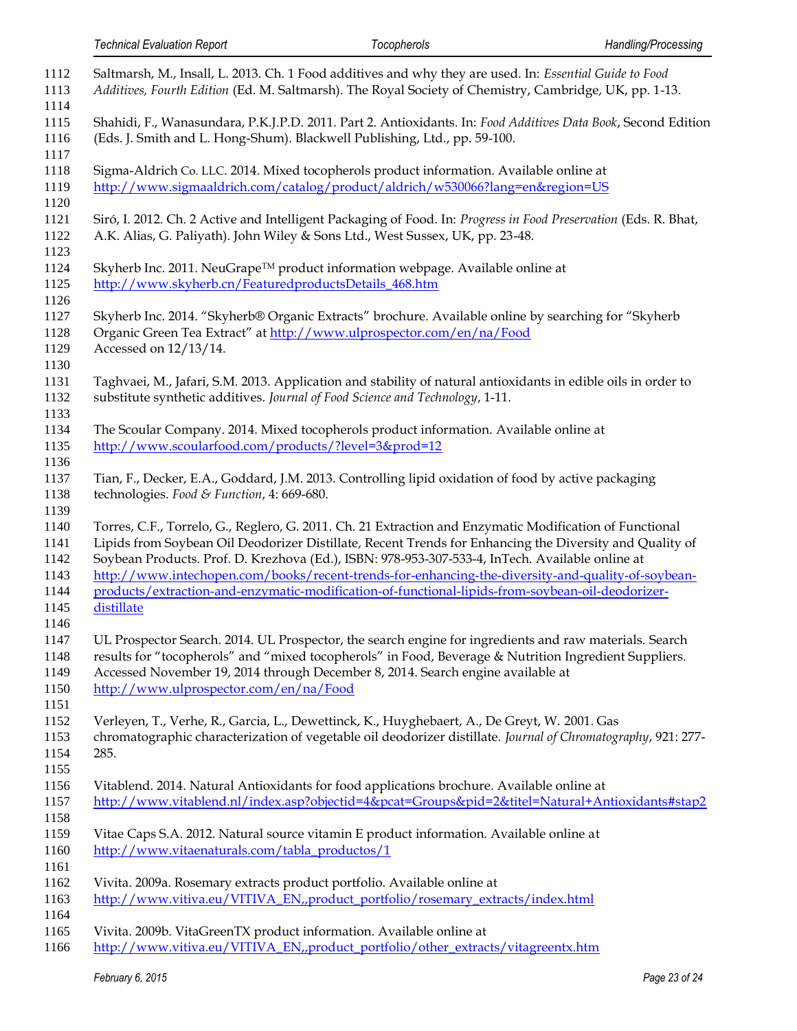| 1112<br>1113<br>1114                         | Saltmarsh, M., Insall, L. 2013. Ch. 1 Food additives and why they are used. In: Essential Guide to Food<br>Additives, Fourth Edition (Ed. M. Saltmarsh). The Royal Society of Chemistry, Cambridge, UK, pp. 1-13.                                                                                                                                                                                                                                                                                                                            |
|----------------------------------------------|----------------------------------------------------------------------------------------------------------------------------------------------------------------------------------------------------------------------------------------------------------------------------------------------------------------------------------------------------------------------------------------------------------------------------------------------------------------------------------------------------------------------------------------------|
| 1115<br>1116<br>1117                         | Shahidi, F., Wanasundara, P.K.J.P.D. 2011. Part 2. Antioxidants. In: Food Additives Data Book, Second Edition<br>(Eds. J. Smith and L. Hong-Shum). Blackwell Publishing, Ltd., pp. 59-100.                                                                                                                                                                                                                                                                                                                                                   |
| 1118<br>1119<br>1120                         | Sigma-Aldrich Co. LLC. 2014. Mixed tocopherols product information. Available online at<br>http://www.sigmaaldrich.com/catalog/product/aldrich/w530066?lang=en&region=US                                                                                                                                                                                                                                                                                                                                                                     |
| 1121<br>1122<br>1123                         | Siró, I. 2012. Ch. 2 Active and Intelligent Packaging of Food. In: Progress in Food Preservation (Eds. R. Bhat,<br>A.K. Alias, G. Paliyath). John Wiley & Sons Ltd., West Sussex, UK, pp. 23-48.                                                                                                                                                                                                                                                                                                                                             |
| 1124<br>1125                                 | Skyherb Inc. 2011. NeuGrape™ product information webpage. Available online at<br>http://www.skyherb.cn/FeaturedproductsDetails_468.htm                                                                                                                                                                                                                                                                                                                                                                                                       |
| 1126<br>1127<br>1128<br>1129<br>1130         | Skyherb Inc. 2014. "Skyherb® Organic Extracts" brochure. Available online by searching for "Skyherb<br>Organic Green Tea Extract" at http://www.ulprospector.com/en/na/Food<br>Accessed on 12/13/14.                                                                                                                                                                                                                                                                                                                                         |
| 1131<br>1132<br>1133                         | Taghvaei, M., Jafari, S.M. 2013. Application and stability of natural antioxidants in edible oils in order to<br>substitute synthetic additives. Journal of Food Science and Technology, 1-11.                                                                                                                                                                                                                                                                                                                                               |
| 1134<br>1135<br>1136                         | The Scoular Company. 2014. Mixed tocopherols product information. Available online at<br>http://www.scoularfood.com/products/?level=3∏=12                                                                                                                                                                                                                                                                                                                                                                                                    |
| 1137<br>1138<br>1139                         | Tian, F., Decker, E.A., Goddard, J.M. 2013. Controlling lipid oxidation of food by active packaging<br>technologies. Food & Function, 4: 669-680.                                                                                                                                                                                                                                                                                                                                                                                            |
| 1140<br>1141<br>1142<br>1143<br>1144<br>1145 | Torres, C.F., Torrelo, G., Reglero, G. 2011. Ch. 21 Extraction and Enzymatic Modification of Functional<br>Lipids from Soybean Oil Deodorizer Distillate, Recent Trends for Enhancing the Diversity and Quality of<br>Soybean Products. Prof. D. Krezhova (Ed.), ISBN: 978-953-307-533-4, InTech. Available online at<br>http://www.intechopen.com/books/recent-trends-for-enhancing-the-diversity-and-quality-of-soybean-<br>products/extraction-and-enzymatic-modification-of-functional-lipids-from-soybean-oil-deodorizer-<br>distillate |
| 1146<br>1147<br>1148<br>1149<br>1150         | UL Prospector Search. 2014. UL Prospector, the search engine for ingredients and raw materials. Search<br>results for "tocopherols" and "mixed tocopherols" in Food, Beverage & Nutrition Ingredient Suppliers.<br>Accessed November 19, 2014 through December 8, 2014. Search engine available at<br>http://www.ulprospector.com/en/na/Food                                                                                                                                                                                                 |
| 1151<br>1152<br>1153<br>1154<br>1155         | Verleyen, T., Verhe, R., Garcia, L., Dewettinck, K., Huyghebaert, A., De Greyt, W. 2001. Gas<br>chromatographic characterization of vegetable oil deodorizer distillate. Journal of Chromatography, 921: 277-<br>285.                                                                                                                                                                                                                                                                                                                        |
| 1156<br>1157                                 | Vitablend. 2014. Natural Antioxidants for food applications brochure. Available online at<br>http://www.vitablend.nl/index.asp?objectid=4&pcat=Groups&pid=2&titel=Natural+Antioxidants#stap2                                                                                                                                                                                                                                                                                                                                                 |
| 1158<br>1159<br>1160<br>1161                 | Vitae Caps S.A. 2012. Natural source vitamin E product information. Available online at<br>http://www.vitaenaturals.com/tabla_productos/1                                                                                                                                                                                                                                                                                                                                                                                                    |
| 1162<br>1163                                 | Vivita. 2009a. Rosemary extracts product portfolio. Available online at<br>http://www.vitiva.eu/VITIVA_EN,product_portfolio/rosemary_extracts/index.html                                                                                                                                                                                                                                                                                                                                                                                     |
| 1164<br>1165<br>1166                         | Vivita. 2009b. VitaGreenTX product information. Available online at<br>http://www.vitiva.eu/VITIVA_EN,product_portfolio/other_extracts/vitagreentx.htm                                                                                                                                                                                                                                                                                                                                                                                       |